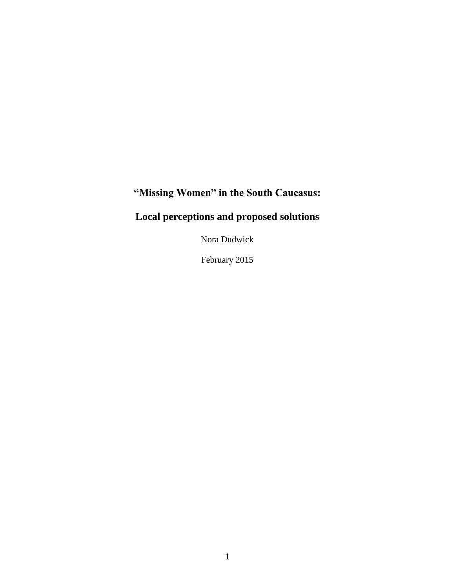# **"Missing Women" in the South Caucasus:**

# **Local perceptions and proposed solutions**

Nora Dudwick

February 2015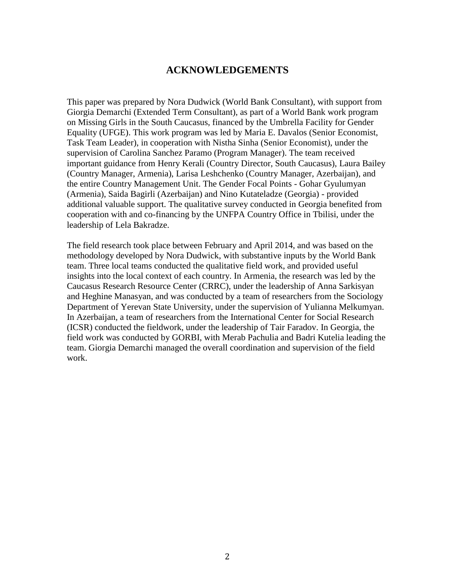# **ACKNOWLEDGEMENTS**

This paper was prepared by Nora Dudwick (World Bank Consultant), with support from Giorgia Demarchi (Extended Term Consultant), as part of a World Bank work program on Missing Girls in the South Caucasus, financed by the Umbrella Facility for Gender Equality (UFGE). This work program was led by Maria E. Davalos (Senior Economist, Task Team Leader), in cooperation with Nistha Sinha (Senior Economist), under the supervision of Carolina Sanchez Paramo (Program Manager). The team received important guidance from Henry Kerali (Country Director, South Caucasus), Laura Bailey (Country Manager, Armenia), Larisa Leshchenko (Country Manager, Azerbaijan), and the entire Country Management Unit. The Gender Focal Points - Gohar Gyulumyan (Armenia), Saida Bagirli (Azerbaijan) and Nino Kutateladze (Georgia) - provided additional valuable support. The qualitative survey conducted in Georgia benefited from cooperation with and co-financing by the UNFPA Country Office in Tbilisi, under the leadership of Lela Bakradze.

The field research took place between February and April 2014, and was based on the methodology developed by Nora Dudwick, with substantive inputs by the World Bank team. Three local teams conducted the qualitative field work, and provided useful insights into the local context of each country. In Armenia, the research was led by the Caucasus Research Resource Center (CRRC), under the leadership of Anna Sarkisyan and Heghine Manasyan, and was conducted by a team of researchers from the Sociology Department of Yerevan State University, under the supervision of Yulianna Melkumyan. In Azerbaijan, a team of researchers from the International Center for Social Research (ICSR) conducted the fieldwork, under the leadership of Tair Faradov. In Georgia, the field work was conducted by GORBI, with Merab Pachulia and Badri Kutelia leading the team. Giorgia Demarchi managed the overall coordination and supervision of the field work.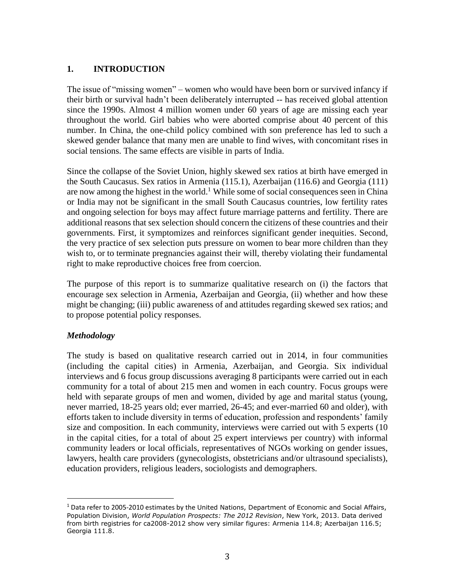# **1. INTRODUCTION**

The issue of "missing women" – women who would have been born or survived infancy if their birth or survival hadn't been deliberately interrupted -- has received global attention since the 1990s. Almost 4 million women under 60 years of age are missing each year throughout the world. Girl babies who were aborted comprise about 40 percent of this number. In China, the one-child policy combined with son preference has led to such a skewed gender balance that many men are unable to find wives, with concomitant rises in social tensions. The same effects are visible in parts of India.

Since the collapse of the Soviet Union, highly skewed sex ratios at birth have emerged in the South Caucasus. Sex ratios in Armenia (115.1), Azerbaijan (116.6) and Georgia (111) are now among the highest in the world.<sup>1</sup> While some of social consequences seen in China or India may not be significant in the small South Caucasus countries, low fertility rates and ongoing selection for boys may affect future marriage patterns and fertility. There are additional reasons that sex selection should concern the citizens of these countries and their governments. First, it symptomizes and reinforces significant gender inequities. Second, the very practice of sex selection puts pressure on women to bear more children than they wish to, or to terminate pregnancies against their will, thereby violating their fundamental right to make reproductive choices free from coercion.

The purpose of this report is to summarize qualitative research on (i) the factors that encourage sex selection in Armenia, Azerbaijan and Georgia, (ii) whether and how these might be changing; (iii) public awareness of and attitudes regarding skewed sex ratios; and to propose potential policy responses.

## *Methodology*

 $\overline{a}$ 

The study is based on qualitative research carried out in 2014, in four communities (including the capital cities) in Armenia, Azerbaijan, and Georgia. Six individual interviews and 6 focus group discussions averaging 8 participants were carried out in each community for a total of about 215 men and women in each country. Focus groups were held with separate groups of men and women, divided by age and marital status (young, never married, 18-25 years old; ever married, 26-45; and ever-married 60 and older), with efforts taken to include diversity in terms of education, profession and respondents' family size and composition. In each community, interviews were carried out with 5 experts (10 in the capital cities, for a total of about 25 expert interviews per country) with informal community leaders or local officials, representatives of NGOs working on gender issues, lawyers, health care providers (gynecologists, obstetricians and/or ultrasound specialists), education providers, religious leaders, sociologists and demographers.

 $1$  Data refer to 2005-2010 estimates by the United Nations, Department of Economic and Social Affairs, Population Division, *World Population Prospects: The 2012 Revision*, New York, 2013. Data derived from birth registries for ca2008-2012 show very similar figures: Armenia 114.8; Azerbaijan 116.5; Georgia 111.8.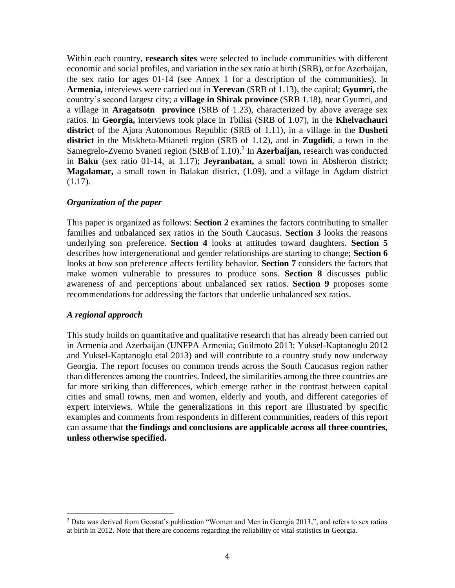Within each country, **research sites** were selected to include communities with different economic and social profiles, and variation in the sex ratio at birth (SRB), or for Azerbaijan, the sex ratio for ages 01-14 (see Annex 1 for a description of the communities). In **Armenia,** interviews were carried out in **Yerevan** (SRB of 1.13), the capital; **Gyumri,** the country's second largest city; a **village in Shirak province** (SRB 1.18), near Gyumri, and a village in **Aragatsotn province** (SRB of 1.23), characterized by above average sex ratios. In **Georgia,** interviews took place in Tbilisi (SRB of 1.07), in the **Khelvachauri district** of the Ajara Autonomous Republic (SRB of 1.11), in a village in the **Dusheti district** in the Mtskheta-Mtianeti region (SRB of 1.12), and in **Zugdidi**, a town in the Samegrelo-Zvemo Svaneti region (SRB of 1.10).<sup>2</sup> In Azerbaijan, research was conducted in **Baku** (sex ratio 01-14, at 1.17); **Jeyranbatan,** a small town in Absheron district; **Magalamar,** a small town in Balakan district, (1.09), and a village in Agdam district  $(1.17).$ 

### *Organization of the paper*

This paper is organized as follows: **Section 2** examines the factors contributing to smaller families and unbalanced sex ratios in the South Caucasus. **Section 3** looks the reasons underlying son preference. **Section 4** looks at attitudes toward daughters. **Section 5** describes how intergenerational and gender relationships are starting to change; **Section 6** looks at how son preference affects fertility behavior. **Section 7** considers the factors that make women vulnerable to pressures to produce sons. **Section 8** discusses public awareness of and perceptions about unbalanced sex ratios. **Section 9** proposes some recommendations for addressing the factors that underlie unbalanced sex ratios.

### *A regional approach*

l

This study builds on quantitative and qualitative research that has already been carried out in Armenia and Azerbaijan (UNFPA Armenia; Guilmoto 2013; Yuksel-Kaptanoglu 2012 and Yuksel-Kaptanoglu etal 2013) and will contribute to a country study now underway Georgia. The report focuses on common trends across the South Caucasus region rather than differences among the countries. Indeed, the similarities among the three countries are far more striking than differences, which emerge rather in the contrast between capital cities and small towns, men and women, elderly and youth, and different categories of expert interviews. While the generalizations in this report are illustrated by specific examples and comments from respondents in different communities, readers of this report can assume that **the findings and conclusions are applicable across all three countries, unless otherwise specified.** 

<sup>&</sup>lt;sup>2</sup> Data was derived from Geostat's publication "Women and Men in Georgia 2013,", and refers to sex ratios at birth in 2012. Note that there are concerns regarding the reliability of vital statistics in Georgia.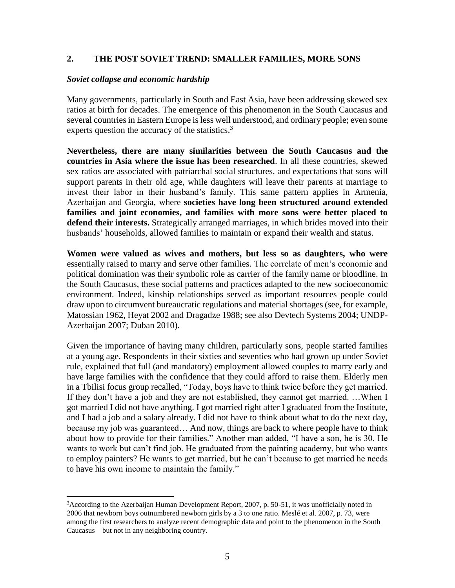### **2. THE POST SOVIET TREND: SMALLER FAMILIES, MORE SONS**

#### *Soviet collapse and economic hardship*

 $\overline{a}$ 

Many governments, particularly in South and East Asia, have been addressing skewed sex ratios at birth for decades. The emergence of this phenomenon in the South Caucasus and several countries in Eastern Europe is less well understood, and ordinary people; even some experts question the accuracy of the statistics.<sup>3</sup>

**Nevertheless, there are many similarities between the South Caucasus and the countries in Asia where the issue has been researched**. In all these countries, skewed sex ratios are associated with patriarchal social structures, and expectations that sons will support parents in their old age, while daughters will leave their parents at marriage to invest their labor in their husband's family. This same pattern applies in Armenia, Azerbaijan and Georgia, where **societies have long been structured around extended families and joint economies, and families with more sons were better placed to defend their interests.** Strategically arranged marriages, in which brides moved into their husbands' households, allowed families to maintain or expand their wealth and status.

**Women were valued as wives and mothers, but less so as daughters, who were** essentially raised to marry and serve other families. The correlate of men's economic and political domination was their symbolic role as carrier of the family name or bloodline. In the South Caucasus, these social patterns and practices adapted to the new socioeconomic environment. Indeed, kinship relationships served as important resources people could draw upon to circumvent bureaucratic regulations and material shortages (see, for example, Matossian 1962, Heyat 2002 and Dragadze 1988; see also Devtech Systems 2004; UNDP-Azerbaijan 2007; Duban 2010).

Given the importance of having many children, particularly sons, people started families at a young age. Respondents in their sixties and seventies who had grown up under Soviet rule, explained that full (and mandatory) employment allowed couples to marry early and have large families with the confidence that they could afford to raise them. Elderly men in a Tbilisi focus group recalled, "Today, boys have to think twice before they get married. If they don't have a job and they are not established, they cannot get married. …When I got married I did not have anything. I got married right after I graduated from the Institute, and I had a job and a salary already. I did not have to think about what to do the next day, because my job was guaranteed… And now, things are back to where people have to think about how to provide for their families." Another man added, "I have a son, he is 30. He wants to work but can't find job. He graduated from the painting academy, but who wants to employ painters? He wants to get married, but he can't because to get married he needs to have his own income to maintain the family."

 $3$ According to the Azerbaijan Human Development Report, 2007, p. 50-51, it was unofficially noted in 2006 that newborn boys outnumbered newborn girls by a 3 to one ratio. Meslé et al. 2007, p. 73, were among the first researchers to analyze recent demographic data and point to the phenomenon in the South Caucasus – but not in any neighboring country.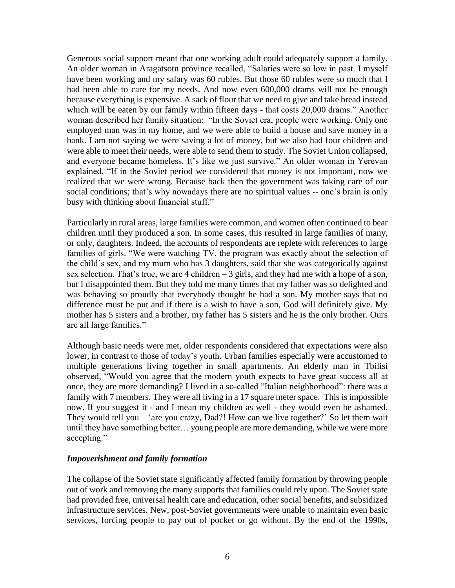Generous social support meant that one working adult could adequately support a family. An older woman in Aragatsotn province recalled, "Salaries were so low in past. I myself have been working and my salary was 60 rubles. But those 60 rubles were so much that I had been able to care for my needs. And now even 600,000 drams will not be enough because everything is expensive. A sack of flour that we need to give and take bread instead which will be eaten by our family within fifteen days - that costs 20,000 drams." Another woman described her family situation: "In the Soviet era, people were working. Only one employed man was in my home, and we were able to build a house and save money in a bank. I am not saying we were saving a lot of money, but we also had four children and were able to meet their needs, were able to send them to study. The Soviet Union collapsed, and everyone became homeless. It's like we just survive." An older woman in Yerevan explained, "If in the Soviet period we considered that money is not important, now we realized that we were wrong. Because back then the government was taking care of our social conditions; that's why nowadays there are no spiritual values -- one's brain is only busy with thinking about financial stuff."

Particularly in rural areas, large families were common, and women often continued to bear children until they produced a son. In some cases, this resulted in large families of many, or only, daughters. Indeed, the accounts of respondents are replete with references to large families of girls. "We were watching TV, the program was exactly about the selection of the child's sex, and my mum who has 3 daughters, said that she was categorically against sex selection. That's true, we are 4 children  $-3$  girls, and they had me with a hope of a son, but I disappointed them. But they told me many times that my father was so delighted and was behaving so proudly that everybody thought he had a son. My mother says that no difference must be put and if there is a wish to have a son, God will definitely give. My mother has 5 sisters and a brother, my father has 5 sisters and he is the only brother. Ours are all large families."

Although basic needs were met, older respondents considered that expectations were also lower, in contrast to those of today's youth. Urban families especially were accustomed to multiple generations living together in small apartments. An elderly man in Tbilisi observed, "Would you agree that the modern youth expects to have great success all at once, they are more demanding? I lived in a so-called "Italian neighborhood": there was a family with 7 members. They were all living in a 17 square meter space. This is impossible now. If you suggest it - and I mean my children as well - they would even be ashamed. They would tell you – 'are you crazy, Dad?! How can we live together?' So let them wait until they have something better… young people are more demanding, while we were more accepting."

### *Impoverishment and family formation*

The collapse of the Soviet state significantly affected family formation by throwing people out of work and removing the many supports that families could rely upon. The Soviet state had provided free, universal health care and education, other social benefits, and subsidized infrastructure services. New, post-Soviet governments were unable to maintain even basic services, forcing people to pay out of pocket or go without. By the end of the 1990s,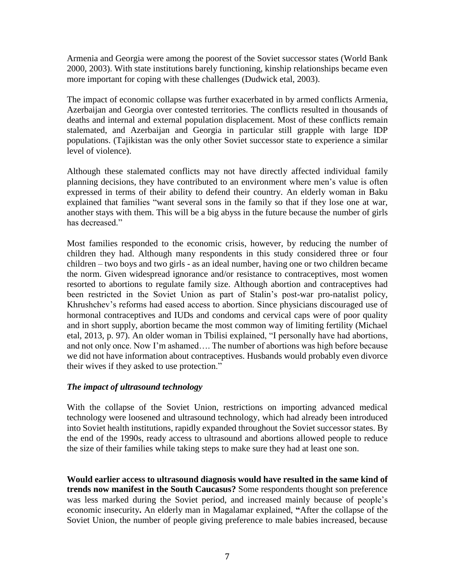Armenia and Georgia were among the poorest of the Soviet successor states (World Bank 2000, 2003). With state institutions barely functioning, kinship relationships became even more important for coping with these challenges (Dudwick etal, 2003).

The impact of economic collapse was further exacerbated in by armed conflicts Armenia, Azerbaijan and Georgia over contested territories. The conflicts resulted in thousands of deaths and internal and external population displacement. Most of these conflicts remain stalemated, and Azerbaijan and Georgia in particular still grapple with large IDP populations. (Tajikistan was the only other Soviet successor state to experience a similar level of violence).

Although these stalemated conflicts may not have directly affected individual family planning decisions, they have contributed to an environment where men's value is often expressed in terms of their ability to defend their country. An elderly woman in Baku explained that families "want several sons in the family so that if they lose one at war, another stays with them. This will be a big abyss in the future because the number of girls has decreased"

Most families responded to the economic crisis, however, by reducing the number of children they had. Although many respondents in this study considered three or four children – two boys and two girls - as an ideal number, having one or two children became the norm. Given widespread ignorance and/or resistance to contraceptives, most women resorted to abortions to regulate family size. Although abortion and contraceptives had been restricted in the Soviet Union as part of Stalin's post-war pro-natalist policy, Khrushchev's reforms had eased access to abortion. Since physicians discouraged use of hormonal contraceptives and IUDs and condoms and cervical caps were of poor quality and in short supply, abortion became the most common way of limiting fertility (Michael etal, 2013, p. 97). An older woman in Tbilisi explained, "I personally have had abortions, and not only once. Now I'm ashamed…. The number of abortions was high before because we did not have information about contraceptives. Husbands would probably even divorce their wives if they asked to use protection."

## *The impact of ultrasound technology*

With the collapse of the Soviet Union, restrictions on importing advanced medical technology were loosened and ultrasound technology, which had already been introduced into Soviet health institutions, rapidly expanded throughout the Soviet successor states. By the end of the 1990s, ready access to ultrasound and abortions allowed people to reduce the size of their families while taking steps to make sure they had at least one son.

**Would earlier access to ultrasound diagnosis would have resulted in the same kind of trends now manifest in the South Caucasus?** Some respondents thought son preference was less marked during the Soviet period, and increased mainly because of people's economic insecurity**.** An elderly man in Magalamar explained, **"**After the collapse of the Soviet Union, the number of people giving preference to male babies increased, because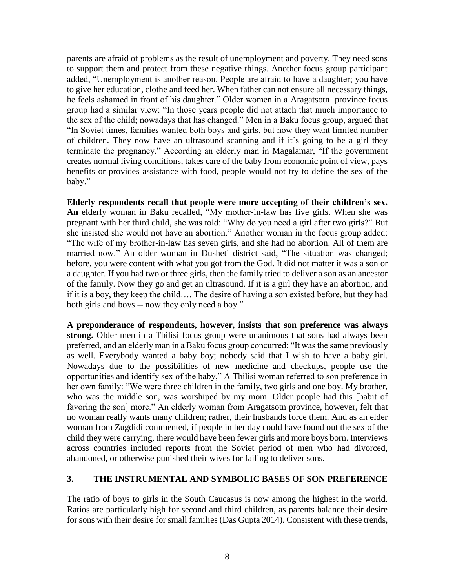parents are afraid of problems as the result of unemployment and poverty. They need sons to support them and protect from these negative things. Another focus group participant added, "Unemployment is another reason. People are afraid to have a daughter; you have to give her education, clothe and feed her. When father can not ensure all necessary things, he feels ashamed in front of his daughter." Older women in a Aragatsotn province focus group had a similar view: "In those years people did not attach that much importance to the sex of the child; nowadays that has changed." Men in a Baku focus group, argued that "In Soviet times, families wanted both boys and girls, but now they want limited number of children. They now have an ultrasound scanning and if it`s going to be a girl they terminate the pregnancy." According an elderly man in Magalamar, "If the government creates normal living conditions, takes care of the baby from economic point of view, pays benefits or provides assistance with food, people would not try to define the sex of the baby."

**Elderly respondents recall that people were more accepting of their children's sex.**  An elderly woman in Baku recalled, "My mother-in-law has five girls. When she was pregnant with her third child, she was told: "Why do you need a girl after two girls?" But she insisted she would not have an abortion." Another woman in the focus group added: "The wife of my brother-in-law has seven girls, and she had no abortion. All of them are married now." An older woman in Dusheti district said, "The situation was changed; before, you were content with what you got from the God. It did not matter it was a son or a daughter. If you had two or three girls, then the family tried to deliver a son as an ancestor of the family. Now they go and get an ultrasound. If it is a girl they have an abortion, and if it is a boy, they keep the child…. The desire of having a son existed before, but they had both girls and boys -- now they only need a boy."

**A preponderance of respondents, however, insists that son preference was always strong.** Older men in a Tbilisi focus group were unanimous that sons had always been preferred, and an elderly man in a Baku focus group concurred: "It was the same previously as well. Everybody wanted a baby boy; nobody said that I wish to have a baby girl. Nowadays due to the possibilities of new medicine and checkups, people use the opportunities and identify sex of the baby," A Tbilisi woman referred to son preference in her own family: "We were three children in the family, two girls and one boy. My brother, who was the middle son, was worshiped by my mom. Older people had this [habit of favoring the son] more." An elderly woman from Aragatsotn province, however, felt that no woman really wants many children; rather, their husbands force them. And as an elder woman from Zugdidi commented, if people in her day could have found out the sex of the child they were carrying, there would have been fewer girls and more boys born. Interviews across countries included reports from the Soviet period of men who had divorced, abandoned, or otherwise punished their wives for failing to deliver sons.

### **3. THE INSTRUMENTAL AND SYMBOLIC BASES OF SON PREFERENCE**

The ratio of boys to girls in the South Caucasus is now among the highest in the world. Ratios are particularly high for second and third children, as parents balance their desire for sons with their desire for small families (Das Gupta 2014). Consistent with these trends,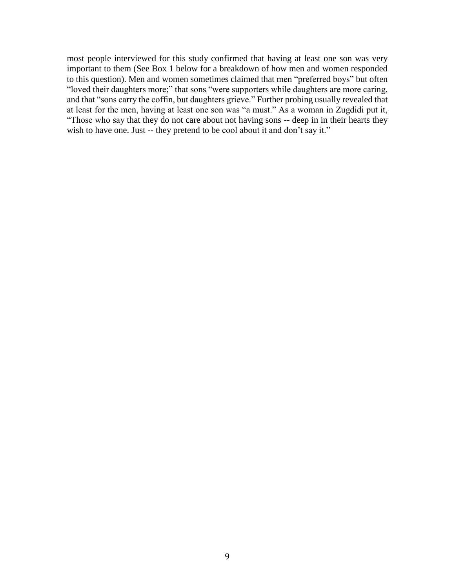most people interviewed for this study confirmed that having at least one son was very important to them (See Box 1 below for a breakdown of how men and women responded to this question). Men and women sometimes claimed that men "preferred boys" but often "loved their daughters more;" that sons "were supporters while daughters are more caring, and that "sons carry the coffin, but daughters grieve." Further probing usually revealed that at least for the men, having at least one son was "a must." As a woman in Zugdidi put it, "Those who say that they do not care about not having sons -- deep in in their hearts they wish to have one. Just -- they pretend to be cool about it and don't say it."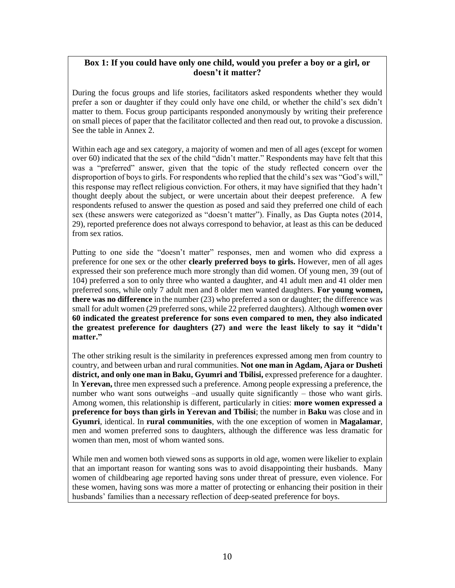### **Box 1: If you could have only one child, would you prefer a boy or a girl, or doesn't it matter?**

During the focus groups and life stories, facilitators asked respondents whether they would prefer a son or daughter if they could only have one child, or whether the child's sex didn't matter to them. Focus group participants responded anonymously by writing their preference on small pieces of paper that the facilitator collected and then read out, to provoke a discussion. See the table in Annex 2.

Within each age and sex category, a majority of women and men of all ages (except for women over 60) indicated that the sex of the child "didn't matter." Respondents may have felt that this was a "preferred" answer, given that the topic of the study reflected concern over the disproportion of boys to girls. For respondents who replied that the child's sex was "God's will," this response may reflect religious conviction. For others, it may have signified that they hadn't thought deeply about the subject, or were uncertain about their deepest preference. A few respondents refused to answer the question as posed and said they preferred one child of each sex (these answers were categorized as "doesn't matter"). Finally, as Das Gupta notes (2014, 29), reported preference does not always correspond to behavior, at least as this can be deduced from sex ratios.

Putting to one side the "doesn't matter" responses, men and women who did express a preference for one sex or the other **clearly preferred boys to girls.** However, men of all ages expressed their son preference much more strongly than did women. Of young men, 39 (out of 104) preferred a son to only three who wanted a daughter, and 41 adult men and 41 older men preferred sons, while only 7 adult men and 8 older men wanted daughters. **For young women, there was no difference** in the number (23) who preferred a son or daughter; the difference was small for adult women (29 preferred sons, while 22 preferred daughters). Although **women over 60 indicated the greatest preference for sons even compared to men, they also indicated the greatest preference for daughters (27) and were the least likely to say it "didn't matter."**

The other striking result is the similarity in preferences expressed among men from country to country, and between urban and rural communities. **Not one man in Agdam, Ajara or Dusheti district, and only one man in Baku, Gyumri and Tbilisi,** expressed preference for a daughter. In **Yerevan,** three men expressed such a preference. Among people expressing a preference, the number who want sons outweighs –and usually quite significantly – those who want girls. Among women, this relationship is different, particularly in cities: **more women expressed a preference for boys than girls in Yerevan and Tbilisi**; the number in **Baku** was close and in **Gyumri**, identical. In **rural communities**, with the one exception of women in **Magalamar**, men and women preferred sons to daughters, although the difference was less dramatic for women than men, most of whom wanted sons.

While men and women both viewed sons as supports in old age, women were likelier to explain that an important reason for wanting sons was to avoid disappointing their husbands. Many women of childbearing age reported having sons under threat of pressure, even violence. For these women, having sons was more a matter of protecting or enhancing their position in their husbands' families than a necessary reflection of deep-seated preference for boys.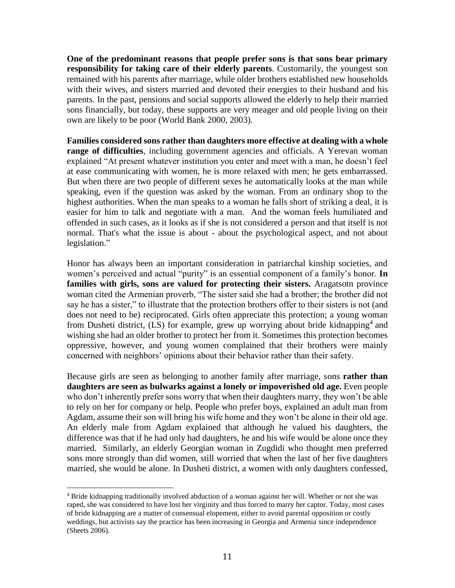**One of the predominant reasons that people prefer sons is that sons bear primary responsibility for taking care of their elderly parents**. Customarily, the youngest son remained with his parents after marriage, while older brothers established new households with their wives, and sisters married and devoted their energies to their husband and his parents. In the past, pensions and social supports allowed the elderly to help their married sons financially, but today, these supports are very meager and old people living on their own are likely to be poor (World Bank 2000, 2003).

**Families considered sons rather than daughters more effective at dealing with a whole range of difficulties**, including government agencies and officials. A Yerevan woman explained "At present whatever institution you enter and meet with a man, he doesn't feel at ease communicating with women, he is more relaxed with men; he gets embarrassed. But when there are two people of different sexes he automatically looks at the man while speaking, even if the question was asked by the woman. From an ordinary shop to the highest authorities. When the man speaks to a woman he falls short of striking a deal, it is easier for him to talk and negotiate with a man. And the woman feels humiliated and offended in such cases, as it looks as if she is not considered a person and that itself is not normal. That's what the issue is about - about the psychological aspect, and not about legislation."

Honor has always been an important consideration in patriarchal kinship societies, and women's perceived and actual "purity" is an essential component of a family's honor. **In**  families with girls, sons are valued for protecting their sisters. Aragatsotn province woman cited the Armenian proverb, "The sister said she had a brother; the brother did not say he has a sister," to illustrate that the protection brothers offer to their sisters is not (and does not need to be) reciprocated. Girls often appreciate this protection; a young woman from Dusheti district, (LS) for example, grew up worrying about bride kidnapping<sup>4</sup> and wishing she had an older brother to protect her from it. Sometimes this protection becomes oppressive, however, and young women complained that their brothers were mainly concerned with neighbors' opinions about their behavior rather than their safety.

Because girls are seen as belonging to another family after marriage, sons **rather than daughters are seen as bulwarks against a lonely or impoverished old age.** Even people who don't inherently prefer sons worry that when their daughters marry, they won't be able to rely on her for company or help. People who prefer boys, explained an adult man from Agdam, assume their son will bring his wife home and they won't be alone in their old age. An elderly male from Agdam explained that although he valued his daughters, the difference was that if he had only had daughters, he and his wife would be alone once they married. Similarly, an elderly Georgian woman in Zugdidi who thought men preferred sons more strongly than did women, still worried that when the last of her five daughters married, she would be alone. In Dusheti district, a women with only daughters confessed,

 $\overline{a}$ <sup>4</sup> Bride kidnapping traditionally involved abduction of a woman against her will. Whether or not she was raped, she was considered to have lost her virginity and thus forced to marry her captor. Today, most cases of bride kidnapping are a matter of consensual elopement, either to avoid parental opposition or costly weddings, but activists say the practice has been increasing in Georgia and Armenia since independence (Sheets 2006).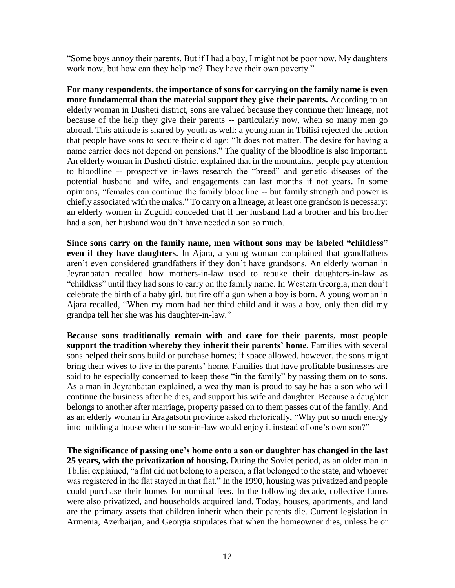"Some boys annoy their parents. But if I had a boy, I might not be poor now. My daughters work now, but how can they help me? They have their own poverty."

**For many respondents, the importance of sons for carrying on the family name is even more fundamental than the material support they give their parents.** According to an elderly woman in Dusheti district, sons are valued because they continue their lineage, not because of the help they give their parents -- particularly now, when so many men go abroad. This attitude is shared by youth as well: a young man in Tbilisi rejected the notion that people have sons to secure their old age: "It does not matter. The desire for having a name carrier does not depend on pensions." The quality of the bloodline is also important. An elderly woman in Dusheti district explained that in the mountains, people pay attention to bloodline -- prospective in-laws research the "breed" and genetic diseases of the potential husband and wife, and engagements can last months if not years. In some opinions, "females can continue the family bloodline -- but family strength and power is chiefly associated with the males." To carry on a lineage, at least one grandson is necessary: an elderly women in Zugdidi conceded that if her husband had a brother and his brother had a son, her husband wouldn't have needed a son so much.

**Since sons carry on the family name, men without sons may be labeled "childless" even if they have daughters.** In Ajara, a young woman complained that grandfathers aren't even considered grandfathers if they don't have grandsons. An elderly woman in Jeyranbatan recalled how mothers-in-law used to rebuke their daughters-in-law as "childless" until they had sons to carry on the family name. In Western Georgia, men don't celebrate the birth of a baby girl, but fire off a gun when a boy is born. A young woman in Ajara recalled, "When my mom had her third child and it was a boy, only then did my grandpa tell her she was his daughter-in-law."

**Because sons traditionally remain with and care for their parents, most people support the tradition whereby they inherit their parents' home.** Families with several sons helped their sons build or purchase homes; if space allowed, however, the sons might bring their wives to live in the parents' home. Families that have profitable businesses are said to be especially concerned to keep these "in the family" by passing them on to sons. As a man in Jeyranbatan explained, a wealthy man is proud to say he has a son who will continue the business after he dies, and support his wife and daughter. Because a daughter belongs to another after marriage, property passed on to them passes out of the family. And as an elderly woman in Aragatsotn province asked rhetorically, "Why put so much energy into building a house when the son-in-law would enjoy it instead of one's own son?"

**The significance of passing one's home onto a son or daughter has changed in the last 25 years, with the privatization of housing.** During the Soviet period, as an older man in Tbilisi explained, "a flat did not belong to a person, a flat belonged to the state, and whoever was registered in the flat stayed in that flat." In the 1990, housing was privatized and people could purchase their homes for nominal fees. In the following decade, collective farms were also privatized, and households acquired land. Today, houses, apartments, and land are the primary assets that children inherit when their parents die. Current legislation in Armenia, Azerbaijan, and Georgia stipulates that when the homeowner dies, unless he or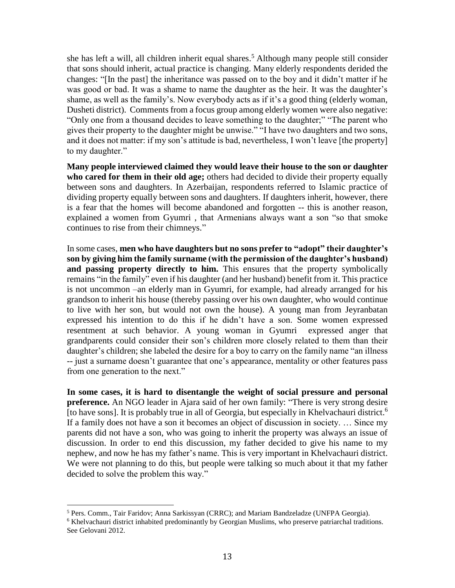she has left a will, all children inherit equal shares.<sup>5</sup> Although many people still consider that sons should inherit, actual practice is changing. Many elderly respondents derided the changes: "[In the past] the inheritance was passed on to the boy and it didn't matter if he was good or bad. It was a shame to name the daughter as the heir. It was the daughter's shame, as well as the family's. Now everybody acts as if it's a good thing (elderly woman, Dusheti district). Comments from a focus group among elderly women were also negative: "Only one from a thousand decides to leave something to the daughter;" "The parent who gives their property to the daughter might be unwise." "I have two daughters and two sons, and it does not matter: if my son's attitude is bad, nevertheless, I won't leave [the property] to my daughter."

**Many people interviewed claimed they would leave their house to the son or daughter who cared for them in their old age;** others had decided to divide their property equally between sons and daughters. In Azerbaijan, respondents referred to Islamic practice of dividing property equally between sons and daughters. If daughters inherit, however, there is a fear that the homes will become abandoned and forgotten -- this is another reason, explained a women from Gyumri , that Armenians always want a son "so that smoke continues to rise from their chimneys."

In some cases, **men who have daughters but no sons prefer to "adopt" their daughter's son by giving him the family surname (with the permission of the daughter's husband) and passing property directly to him.** This ensures that the property symbolically remains "in the family" even if his daughter (and her husband) benefit from it. This practice is not uncommon –an elderly man in Gyumri, for example, had already arranged for his grandson to inherit his house (thereby passing over his own daughter, who would continue to live with her son, but would not own the house). A young man from Jeyranbatan expressed his intention to do this if he didn't have a son. Some women expressed resentment at such behavior. A young woman in Gyumri expressed anger that grandparents could consider their son's children more closely related to them than their daughter's children; she labeled the desire for a boy to carry on the family name "an illness -- just a surname doesn't guarantee that one's appearance, mentality or other features pass from one generation to the next."

**In some cases, it is hard to disentangle the weight of social pressure and personal preference.** An NGO leader in Ajara said of her own family: "There is very strong desire [to have sons]. It is probably true in all of Georgia, but especially in Khelvachauri district.<sup>6</sup> If a family does not have a son it becomes an object of discussion in society. … Since my parents did not have a son, who was going to inherit the property was always an issue of discussion. In order to end this discussion, my father decided to give his name to my nephew, and now he has my father's name. This is very important in Khelvachauri district. We were not planning to do this, but people were talking so much about it that my father decided to solve the problem this way."

 $\overline{a}$ 

<sup>5</sup> Pers. Comm., Tair Faridov; Anna Sarkissyan (CRRC); and Mariam Bandzeladze (UNFPA Georgia).

 $6$  Khelvachauri district inhabited predominantly by Georgian Muslims, who preserve patriarchal traditions. See Gelovani 2012.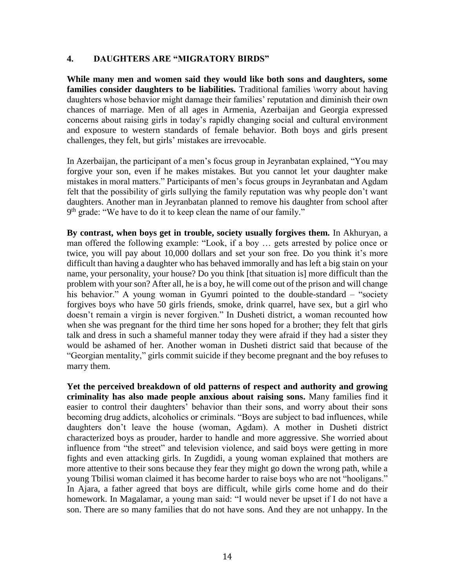### **4. DAUGHTERS ARE "MIGRATORY BIRDS"**

**While many men and women said they would like both sons and daughters, some families consider daughters to be liabilities.** Traditional families \worry about having daughters whose behavior might damage their families' reputation and diminish their own chances of marriage. Men of all ages in Armenia, Azerbaijan and Georgia expressed concerns about raising girls in today's rapidly changing social and cultural environment and exposure to western standards of female behavior. Both boys and girls present challenges, they felt, but girls' mistakes are irrevocable.

In Azerbaijan, the participant of a men's focus group in Jeyranbatan explained, "You may forgive your son, even if he makes mistakes. But you cannot let your daughter make mistakes in moral matters." Participants of men's focus groups in Jeyranbatan and Agdam felt that the possibility of girls sullying the family reputation was why people don't want daughters. Another man in Jeyranbatan planned to remove his daughter from school after 9<sup>th</sup> grade: "We have to do it to keep clean the name of our family."

**By contrast, when boys get in trouble, society usually forgives them.** In Akhuryan, a man offered the following example: "Look, if a boy … gets arrested by police once or twice, you will pay about 10,000 dollars and set your son free. Do you think it's more difficult than having a daughter who has behaved immorally and has left a big stain on your name, your personality, your house? Do you think [that situation is] more difficult than the problem with your son? After all, he is a boy, he will come out of the prison and will change his behavior." A young woman in Gyumri pointed to the double-standard – "society" forgives boys who have 50 girls friends, smoke, drink quarrel, have sex, but a girl who doesn't remain a virgin is never forgiven." In Dusheti district, a woman recounted how when she was pregnant for the third time her sons hoped for a brother; they felt that girls talk and dress in such a shameful manner today they were afraid if they had a sister they would be ashamed of her. Another woman in Dusheti district said that because of the "Georgian mentality," girls commit suicide if they become pregnant and the boy refuses to marry them.

**Yet the perceived breakdown of old patterns of respect and authority and growing criminality has also made people anxious about raising sons.** Many families find it easier to control their daughters' behavior than their sons, and worry about their sons becoming drug addicts, alcoholics or criminals. "Boys are subject to bad influences, while daughters don't leave the house (woman, Agdam). A mother in Dusheti district characterized boys as prouder, harder to handle and more aggressive. She worried about influence from "the street" and television violence, and said boys were getting in more fights and even attacking girls. In Zugdidi, a young woman explained that mothers are more attentive to their sons because they fear they might go down the wrong path, while a young Tbilisi woman claimed it has become harder to raise boys who are not "hooligans." In Ajara, a father agreed that boys are difficult, while girls come home and do their homework. In Magalamar, a young man said: "I would never be upset if I do not have a son. There are so many families that do not have sons. And they are not unhappy. In the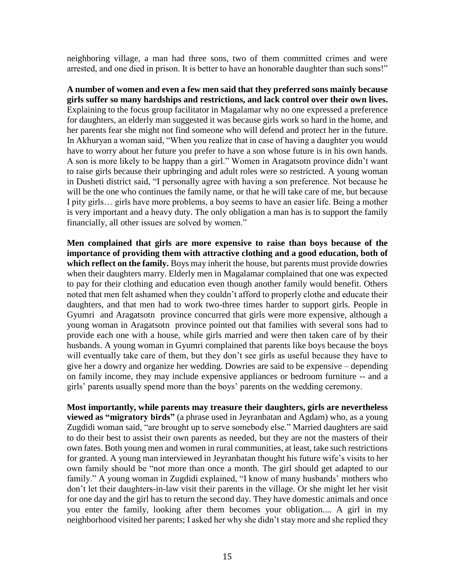neighboring village, a man had three sons, two of them committed crimes and were arrested, and one died in prison. It is better to have an honorable daughter than such sons!"

**A number of women and even a few men said that they preferred sons mainly because girls suffer so many hardships and restrictions, and lack control over their own lives.**  Explaining to the focus group facilitator in Magalamar why no one expressed a preference for daughters, an elderly man suggested it was because girls work so hard in the home, and her parents fear she might not find someone who will defend and protect her in the future. In Akhuryan a woman said, "When you realize that in case of having a daughter you would have to worry about her future you prefer to have a son whose future is in his own hands. A son is more likely to be happy than a girl." Women in Aragatsotn province didn't want to raise girls because their upbringing and adult roles were so restricted. A young woman in Dusheti district said, "I personally agree with having a son preference. Not because he will be the one who continues the family name, or that he will take care of me, but because I pity girls… girls have more problems, a boy seems to have an easier life. Being a mother is very important and a heavy duty. The only obligation a man has is to support the family financially, all other issues are solved by women."

**Men complained that girls are more expensive to raise than boys because of the importance of providing them with attractive clothing and a good education, both of which reflect on the family.** Boys may inherit the house, but parents must provide dowries when their daughters marry. Elderly men in Magalamar complained that one was expected to pay for their clothing and education even though another family would benefit. Others noted that men felt ashamed when they couldn't afford to properly clothe and educate their daughters, and that men had to work two-three times harder to support girls. People in Gyumri and Aragatsotn province concurred that girls were more expensive, although a young woman in Aragatsotn province pointed out that families with several sons had to provide each one with a house, while girls married and were then taken care of by their husbands. A young woman in Gyumri complained that parents like boys because the boys will eventually take care of them, but they don't see girls as useful because they have to give her a dowry and organize her wedding. Dowries are said to be expensive – depending on family income, they may include expensive appliances or bedroom furniture -- and a girls' parents usually spend more than the boys' parents on the wedding ceremony.

**Most importantly, while parents may treasure their daughters, girls are nevertheless viewed as "migratory birds"** (a phrase used in Jeyranbatan and Agdam) who, as a young Zugdidi woman said, "are brought up to serve somebody else." Married daughters are said to do their best to assist their own parents as needed, but they are not the masters of their own fates. Both young men and women in rural communities, at least, take such restrictions for granted. A young man interviewed in Jeyranbatan thought his future wife's visits to her own family should be "not more than once a month. The girl should get adapted to our family." A young woman in Zugdidi explained, "I know of many husbands' mothers who don't let their daughters-in-law visit their parents in the village. Or she might let her visit for one day and the girl has to return the second day. They have domestic animals and once you enter the family, looking after them becomes your obligation.... A girl in my neighborhood visited her parents; I asked her why she didn't stay more and she replied they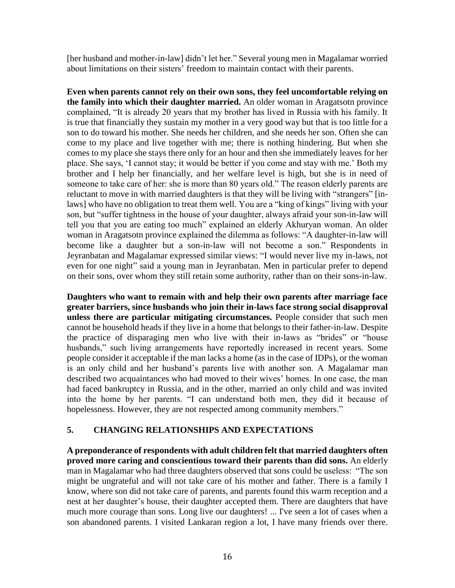[her husband and mother-in-law] didn't let her." Several young men in Magalamar worried about limitations on their sisters' freedom to maintain contact with their parents.

**Even when parents cannot rely on their own sons, they feel uncomfortable relying on the family into which their daughter married.** An older woman in Aragatsotn province complained, "It is already 20 years that my brother has lived in Russia with his family. It is true that financially they sustain my mother in a very good way but that is too little for a son to do toward his mother. She needs her children, and she needs her son. Often she can come to my place and live together with me; there is nothing hindering. But when she comes to my place she stays there only for an hour and then she immediately leaves for her place. She says, 'I cannot stay; it would be better if you come and stay with me.' Both my brother and I help her financially, and her welfare level is high, but she is in need of someone to take care of her: she is more than 80 years old." The reason elderly parents are reluctant to move in with married daughters is that they will be living with "strangers" [inlaws] who have no obligation to treat them well. You are a "king of kings" living with your son, but "suffer tightness in the house of your daughter, always afraid your son-in-law will tell you that you are eating too much" explained an elderly Akhuryan woman. An older woman in Aragatsotn province explained the dilemma as follows: "A daughter-in-law will become like a daughter but a son-in-law will not become a son." Respondents in Jeyranbatan and Magalamar expressed similar views: "I would never live my in-laws, not even for one night" said a young man in Jeyranbatan. Men in particular prefer to depend on their sons, over whom they still retain some authority, rather than on their sons-in-law.

**Daughters who want to remain with and help their own parents after marriage face greater barriers, since husbands who join their in-laws face strong social disapproval unless there are particular mitigating circumstances.** People consider that such men cannot be household heads if they live in a home that belongs to their father-in-law. Despite the practice of disparaging men who live with their in-laws as "brides" or "house husbands," such living arrangements have reportedly increased in recent years. Some people consider it acceptable if the man lacks a home (as in the case of IDPs), or the woman is an only child and her husband's parents live with another son. A Magalamar man described two acquaintances who had moved to their wives' homes. In one case, the man had faced bankruptcy in Russia, and in the other, married an only child and was invited into the home by her parents. "I can understand both men, they did it because of hopelessness. However, they are not respected among community members."

# **5. CHANGING RELATIONSHIPS AND EXPECTATIONS**

**A preponderance of respondents with adult children felt that married daughters often proved more caring and conscientious toward their parents than did sons.** An elderly man in Magalamar who had three daughters observed that sons could be useless: "The son might be ungrateful and will not take care of his mother and father. There is a family I know, where son did not take care of parents, and parents found this warm reception and a nest at her daughter's house, their daughter accepted them. There are daughters that have much more courage than sons. Long live our daughters! ... I've seen a lot of cases when a son abandoned parents. I visited Lankaran region a lot, I have many friends over there.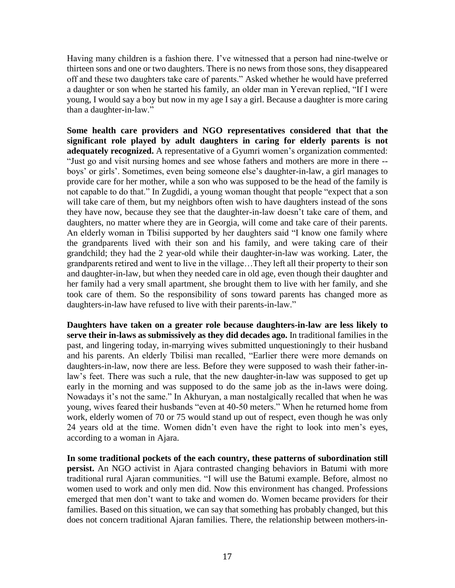Having many children is a fashion there. I've witnessed that a person had nine-twelve or thirteen sons and one or two daughters. There is no news from those sons, they disappeared off and these two daughters take care of parents." Asked whether he would have preferred a daughter or son when he started his family, an older man in Yerevan replied, "If I were young, I would say a boy but now in my age I say a girl. Because a daughter is more caring than a daughter-in-law."

**Some health care providers and NGO representatives considered that that the significant role played by adult daughters in caring for elderly parents is not adequately recognized.** A representative of a Gyumri women's organization commented: "Just go and visit nursing homes and see whose fathers and mothers are more in there - boys' or girls'. Sometimes, even being someone else's daughter-in-law, a girl manages to provide care for her mother, while a son who was supposed to be the head of the family is not capable to do that." In Zugdidi, a young woman thought that people "expect that a son will take care of them, but my neighbors often wish to have daughters instead of the sons they have now, because they see that the daughter-in-law doesn't take care of them, and daughters, no matter where they are in Georgia, will come and take care of their parents. An elderly woman in Tbilisi supported by her daughters said "I know one family where the grandparents lived with their son and his family, and were taking care of their grandchild; they had the 2 year-old while their daughter-in-law was working. Later, the grandparents retired and went to live in the village…They left all their property to their son and daughter-in-law, but when they needed care in old age, even though their daughter and her family had a very small apartment, she brought them to live with her family, and she took care of them. So the responsibility of sons toward parents has changed more as daughters-in-law have refused to live with their parents-in-law."

**Daughters have taken on a greater role because daughters-in-law are less likely to serve their in-laws as submissively as they did decades ago.** In traditional families in the past, and lingering today, in-marrying wives submitted unquestioningly to their husband and his parents. An elderly Tbilisi man recalled, "Earlier there were more demands on daughters-in-law, now there are less. Before they were supposed to wash their father-inlaw's feet. There was such a rule, that the new daughter-in-law was supposed to get up early in the morning and was supposed to do the same job as the in-laws were doing. Nowadays it's not the same." In Akhuryan, a man nostalgically recalled that when he was young, wives feared their husbands "even at 40-50 meters." When he returned home from work, elderly women of 70 or 75 would stand up out of respect, even though he was only 24 years old at the time. Women didn't even have the right to look into men's eyes, according to a woman in Ajara.

**In some traditional pockets of the each country, these patterns of subordination still persist.** An NGO activist in Ajara contrasted changing behaviors in Batumi with more traditional rural Ajaran communities. "I will use the Batumi example. Before, almost no women used to work and only men did. Now this environment has changed. Professions emerged that men don't want to take and women do. Women became providers for their families. Based on this situation, we can say that something has probably changed, but this does not concern traditional Ajaran families. There, the relationship between mothers-in-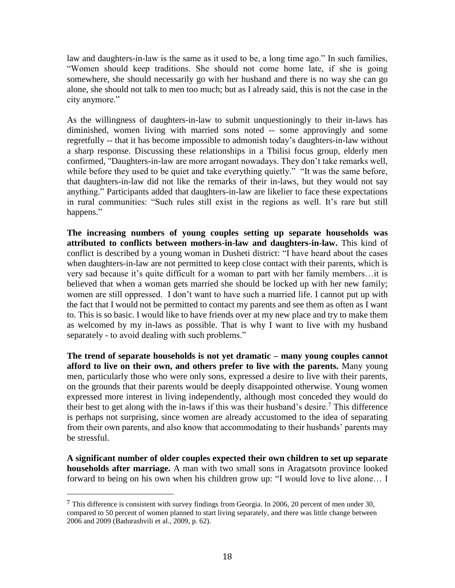law and daughters-in-law is the same as it used to be, a long time ago." In such families, "Women should keep traditions. She should not come home late, if she is going somewhere, she should necessarily go with her husband and there is no way she can go alone, she should not talk to men too much; but as I already said, this is not the case in the city anymore."

As the willingness of daughters-in-law to submit unquestioningly to their in-laws has diminished, women living with married sons noted -- some approvingly and some regretfully -- that it has become impossible to admonish today's daughters-in-law without a sharp response. Discussing these relationships in a Tbilisi focus group, elderly men confirmed, "Daughters-in-law are more arrogant nowadays. They don't take remarks well, while before they used to be quiet and take everything quietly." "It was the same before, that daughters-in-law did not like the remarks of their in-laws, but they would not say anything." Participants added that daughters-in-law are likelier to face these expectations in rural communities: "Such rules still exist in the regions as well. It's rare but still happens."

**The increasing numbers of young couples setting up separate households was attributed to conflicts between mothers-in-law and daughters-in-law.** This kind of conflict is described by a young woman in Dusheti district: "I have heard about the cases when daughters-in-law are not permitted to keep close contact with their parents, which is very sad because it's quite difficult for a woman to part with her family members…it is believed that when a woman gets married she should be locked up with her new family; women are still oppressed. I don't want to have such a married life. I cannot put up with the fact that I would not be permitted to contact my parents and see them as often as I want to. This is so basic. I would like to have friends over at my new place and try to make them as welcomed by my in-laws as possible. That is why I want to live with my husband separately - to avoid dealing with such problems."

**The trend of separate households is not yet dramatic – many young couples cannot afford to live on their own, and others prefer to live with the parents.** Many young men, particularly those who were only sons, expressed a desire to live with their parents, on the grounds that their parents would be deeply disappointed otherwise. Young women expressed more interest in living independently, although most conceded they would do their best to get along with the in-laws if this was their husband's desire.<sup>7</sup> This difference is perhaps not surprising, since women are already accustomed to the idea of separating from their own parents, and also know that accommodating to their husbands' parents may be stressful.

**A significant number of older couples expected their own children to set up separate households after marriage.** A man with two small sons in Aragatsotn province looked forward to being on his own when his children grow up: "I would love to live alone… I

l

<sup>7</sup> This difference is consistent with survey findings from Georgia. In 2006, 20 percent of men under 30, compared to 50 percent of women planned to start living separately, and there was little change between 2006 and 2009 (Badurashvili et al., 2009, p. 62).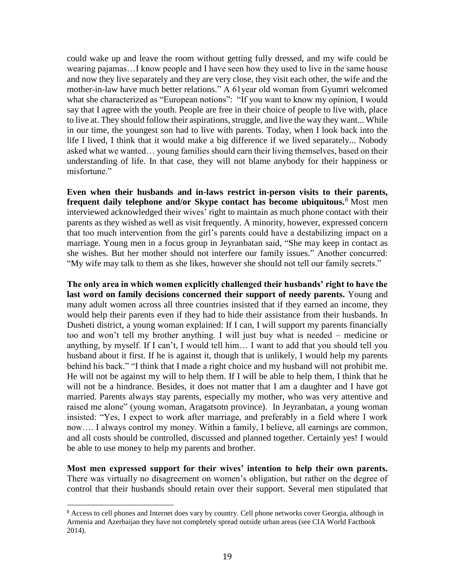could wake up and leave the room without getting fully dressed, and my wife could be wearing pajamas…I know people and I have seen how they used to live in the same house and now they live separately and they are very close, they visit each other, the wife and the mother-in-law have much better relations." A 61year old woman from Gyumri welcomed what she characterized as "European notions": "If you want to know my opinion, I would say that I agree with the youth. People are free in their choice of people to live with, place to live at. They should follow their aspirations, struggle, and live the way they want... While in our time, the youngest son had to live with parents. Today, when I look back into the life I lived, I think that it would make a big difference if we lived separately... Nobody asked what we wanted… young families should earn their living themselves, based on their understanding of life. In that case, they will not blame anybody for their happiness or misfortune"

**Even when their husbands and in-laws restrict in-person visits to their parents, frequent daily telephone and/or Skype contact has become ubiquitous.**<sup>8</sup> Most men interviewed acknowledged their wives' right to maintain as much phone contact with their parents as they wished as well as visit frequently. A minority, however, expressed concern that too much intervention from the girl's parents could have a destabilizing impact on a marriage. Young men in a focus group in Jeyranbatan said, "She may keep in contact as she wishes. But her mother should not interfere our family issues." Another concurred: "My wife may talk to them as she likes, however she should not tell our family secrets."

**The only area in which women explicitly challenged their husbands' right to have the last word on family decisions concerned their support of needy parents.** Young and many adult women across all three countries insisted that if they earned an income, they would help their parents even if they had to hide their assistance from their husbands. In Dusheti district, a young woman explained: If I can, I will support my parents financially too and won't tell my brother anything. I will just buy what is needed – medicine or anything, by myself. If I can't, I would tell him… I want to add that you should tell you husband about it first. If he is against it, though that is unlikely, I would help my parents behind his back." "I think that I made a right choice and my husband will not prohibit me. He will not be against my will to help them. If I will be able to help them, I think that he will not be a hindrance. Besides, it does not matter that I am a daughter and I have got married. Parents always stay parents, especially my mother, who was very attentive and raised me alone" (young woman, Aragatsotn province). In Jeyranbatan, a young woman insisted: "Yes, I expect to work after marriage, and preferably in a field where I work now…. I always control my money. Within a family, I believe, all earnings are common, and all costs should be controlled, discussed and planned together. Certainly yes! I would be able to use money to help my parents and brother.

**Most men expressed support for their wives' intention to help their own parents.** There was virtually no disagreement on women's obligation, but rather on the degree of control that their husbands should retain over their support. Several men stipulated that

 $\overline{a}$ 

<sup>&</sup>lt;sup>8</sup> Access to cell phones and Internet does vary by country. Cell phone networks cover Georgia, although in Armenia and Azerbaijan they have not completely spread outside urban areas (see CIA World Factbook 2014).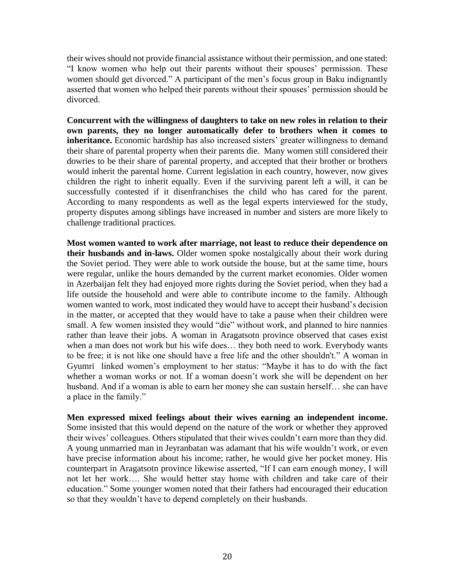their wives should not provide financial assistance without their permission, and one stated: "I know women who help out their parents without their spouses' permission. These women should get divorced." A participant of the men's focus group in Baku indignantly asserted that women who helped their parents without their spouses' permission should be divorced.

**Concurrent with the willingness of daughters to take on new roles in relation to their own parents, they no longer automatically defer to brothers when it comes to inheritance.** Economic hardship has also increased sisters' greater willingness to demand their share of parental property when their parents die. Many women still considered their dowries to be their share of parental property, and accepted that their brother or brothers would inherit the parental home. Current legislation in each country, however, now gives children the right to inherit equally. Even if the surviving parent left a will, it can be successfully contested if it disenfranchises the child who has cared for the parent. According to many respondents as well as the legal experts interviewed for the study, property disputes among siblings have increased in number and sisters are more likely to challenge traditional practices.

**Most women wanted to work after marriage, not least to reduce their dependence on their husbands and in-laws.** Older women spoke nostalgically about their work during the Soviet period. They were able to work outside the house, but at the same time, hours were regular, unlike the hours demanded by the current market economies. Older women in Azerbaijan felt they had enjoyed more rights during the Soviet period, when they had a life outside the household and were able to contribute income to the family. Although women wanted to work, most indicated they would have to accept their husband's decision in the matter, or accepted that they would have to take a pause when their children were small. A few women insisted they would "die" without work, and planned to hire nannies rather than leave their jobs. A woman in Aragatsotn province observed that cases exist when a man does not work but his wife does… they both need to work. Everybody wants to be free; it is not like one should have a free life and the other shouldn't." A woman in Gyumri linked women's employment to her status: "Maybe it has to do with the fact whether a woman works or not. If a woman doesn't work she will be dependent on her husband. And if a woman is able to earn her money she can sustain herself… she can have a place in the family."

**Men expressed mixed feelings about their wives earning an independent income.**  Some insisted that this would depend on the nature of the work or whether they approved their wives' colleagues. Others stipulated that their wives couldn't earn more than they did. A young unmarried man in Jeyranbatan was adamant that his wife wouldn't work, or even have precise information about his income; rather, he would give her pocket money. His counterpart in Aragatsotn province likewise asserted, "If I can earn enough money, I will not let her work…. She would better stay home with children and take care of their education." Some younger women noted that their fathers had encouraged their education so that they wouldn't have to depend completely on their husbands.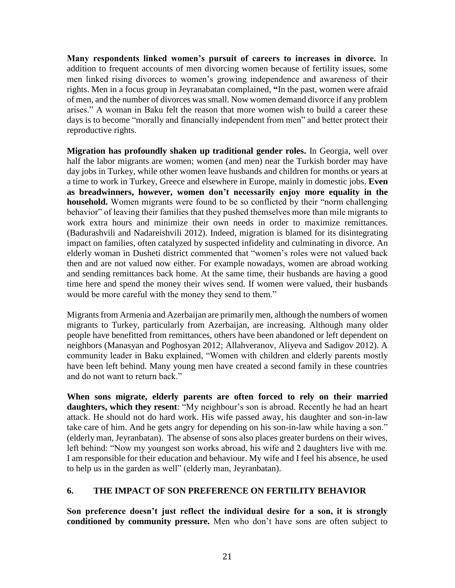**Many respondents linked women's pursuit of careers to increases in divorce.** In addition to frequent accounts of men divorcing women because of fertility issues, some men linked rising divorces to women's growing independence and awareness of their rights. Men in a focus group in Jeyranabatan complained, **"**In the past, women were afraid of men, and the number of divorces was small. Now women demand divorce if any problem arises." A woman in Baku felt the reason that more women wish to build a career these days is to become "morally and financially independent from men" and better protect their reproductive rights.

**Migration has profoundly shaken up traditional gender roles.** In Georgia, well over half the labor migrants are women; women (and men) near the Turkish border may have day jobs in Turkey, while other women leave husbands and children for months or years at a time to work in Turkey, Greece and elsewhere in Europe, mainly in domestic jobs. **Even as breadwinners, however, women don't necessarily enjoy more equality in the household.** Women migrants were found to be so conflicted by their "norm challenging behavior" of leaving their families that they pushed themselves more than mile migrants to work extra hours and minimize their own needs in order to maximize remittances. (Badurashvili and Nadareishvili 2012). Indeed, migration is blamed for its disintegrating impact on families, often catalyzed by suspected infidelity and culminating in divorce. An elderly woman in Dusheti district commented that "women's roles were not valued back then and are not valued now either. For example nowadays, women are abroad working and sending remittances back home. At the same time, their husbands are having a good time here and spend the money their wives send. If women were valued, their husbands would be more careful with the money they send to them."

Migrants from Armenia and Azerbaijan are primarily men, although the numbers of women migrants to Turkey, particularly from Azerbaijan, are increasing. Although many older people have benefitted from remittances, others have been abandoned or left dependent on neighbors (Manasyan and Poghosyan 2012; Allahveranov, Aliyeva and Sadigov 2012). A community leader in Baku explained, "Women with children and elderly parents mostly have been left behind. Many young men have created a second family in these countries and do not want to return back."

**When sons migrate, elderly parents are often forced to rely on their married daughters, which they resent**: "My neighbour's son is abroad. Recently he had an heart attack. He should not do hard work. His wife passed away, his daughter and son-in-law take care of him. And he gets angry for depending on his son-in-law while having a son." (elderly man, Jeyranbatan). The absense of sons also places greater burdens on their wives, left behind: "Now my youngest son works abroad, his wife and 2 daughters live with me. I am responsible for their education and behaviour. My wife and I feel his absence, he used to help us in the garden as well" (elderly man, Jeyranbatan).

## **6. THE IMPACT OF SON PREFERENCE ON FERTILITY BEHAVIOR**

**Son preference doesn't just reflect the individual desire for a son, it is strongly conditioned by community pressure.** Men who don't have sons are often subject to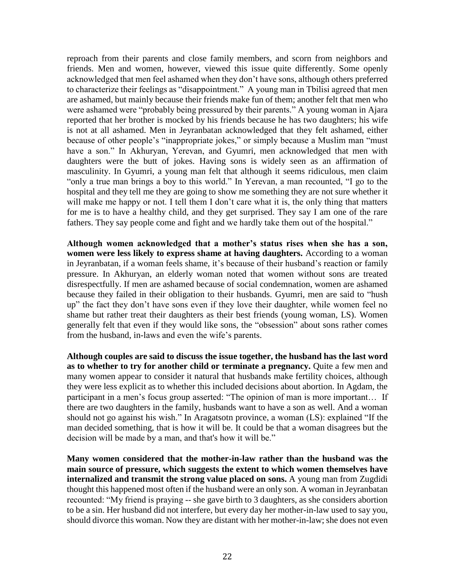reproach from their parents and close family members, and scorn from neighbors and friends. Men and women, however, viewed this issue quite differently. Some openly acknowledged that men feel ashamed when they don't have sons, although others preferred to characterize their feelings as "disappointment." A young man in Tbilisi agreed that men are ashamed, but mainly because their friends make fun of them; another felt that men who were ashamed were "probably being pressured by their parents." A young woman in Ajara reported that her brother is mocked by his friends because he has two daughters; his wife is not at all ashamed. Men in Jeyranbatan acknowledged that they felt ashamed, either because of other people's "inappropriate jokes," or simply because a Muslim man "must have a son." In Akhuryan, Yerevan, and Gyumri, men acknowledged that men with daughters were the butt of jokes. Having sons is widely seen as an affirmation of masculinity. In Gyumri, a young man felt that although it seems ridiculous, men claim "only a true man brings a boy to this world." In Yerevan, a man recounted, "I go to the hospital and they tell me they are going to show me something they are not sure whether it will make me happy or not. I tell them I don't care what it is, the only thing that matters for me is to have a healthy child, and they get surprised. They say I am one of the rare fathers. They say people come and fight and we hardly take them out of the hospital."

**Although women acknowledged that a mother's status rises when she has a son, women were less likely to express shame at having daughters.** According to a woman in Jeyranbatan, if a woman feels shame, it's because of their husband's reaction or family pressure. In Akhuryan, an elderly woman noted that women without sons are treated disrespectfully. If men are ashamed because of social condemnation, women are ashamed because they failed in their obligation to their husbands. Gyumri, men are said to "hush up" the fact they don't have sons even if they love their daughter, while women feel no shame but rather treat their daughters as their best friends (young woman, LS). Women generally felt that even if they would like sons, the "obsession" about sons rather comes from the husband, in-laws and even the wife's parents.

**Although couples are said to discuss the issue together, the husband has the last word as to whether to try for another child or terminate a pregnancy.** Quite a few men and many women appear to consider it natural that husbands make fertility choices, although they were less explicit as to whether this included decisions about abortion. In Agdam, the participant in a men's focus group asserted: "The opinion of man is more important… If there are two daughters in the family, husbands want to have a son as well. And a woman should not go against his wish." In Aragatsotn province, a woman (LS): explained "If the man decided something, that is how it will be. It could be that a woman disagrees but the decision will be made by a man, and that's how it will be."

**Many women considered that the mother-in-law rather than the husband was the main source of pressure, which suggests the extent to which women themselves have internalized and transmit the strong value placed on sons.** A young man from Zugdidi thought this happened most often if the husband were an only son. A woman in Jeyranbatan recounted: "My friend is praying -- she gave birth to 3 daughters, as she considers abortion to be a sin. Her husband did not interfere, but every day her mother-in-law used to say you, should divorce this woman. Now they are distant with her mother-in-law; she does not even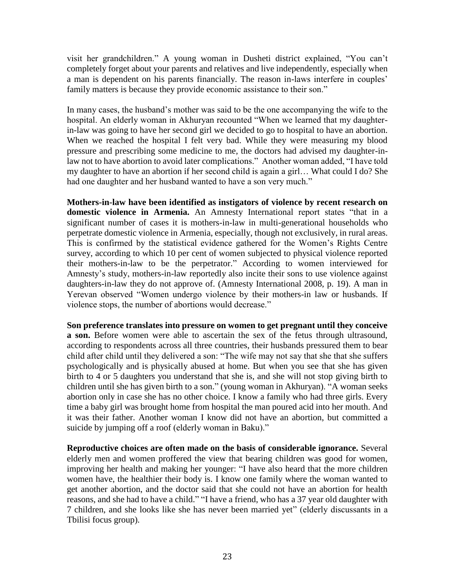visit her grandchildren." A young woman in Dusheti district explained, "You can't completely forget about your parents and relatives and live independently, especially when a man is dependent on his parents financially. The reason in-laws interfere in couples' family matters is because they provide economic assistance to their son."

In many cases, the husband's mother was said to be the one accompanying the wife to the hospital. An elderly woman in Akhuryan recounted "When we learned that my daughterin-law was going to have her second girl we decided to go to hospital to have an abortion. When we reached the hospital I felt very bad. While they were measuring my blood pressure and prescribing some medicine to me, the doctors had advised my daughter-inlaw not to have abortion to avoid later complications." Another woman added, "I have told my daughter to have an abortion if her second child is again a girl… What could I do? She had one daughter and her husband wanted to have a son very much."

**Mothers-in-law have been identified as instigators of violence by recent research on domestic violence in Armenia.** An Amnesty International report states "that in a significant number of cases it is mothers-in-law in multi-generational households who perpetrate domestic violence in Armenia, especially, though not exclusively, in rural areas. This is confirmed by the statistical evidence gathered for the Women's Rights Centre survey, according to which 10 per cent of women subjected to physical violence reported their mothers-in-law to be the perpetrator." According to women interviewed for Amnesty's study, mothers-in-law reportedly also incite their sons to use violence against daughters-in-law they do not approve of. (Amnesty International 2008, p. 19). A man in Yerevan observed "Women undergo violence by their mothers-in law or husbands. If violence stops, the number of abortions would decrease."

**Son preference translates into pressure on women to get pregnant until they conceive a son.** Before women were able to ascertain the sex of the fetus through ultrasound, according to respondents across all three countries, their husbands pressured them to bear child after child until they delivered a son: "The wife may not say that she that she suffers psychologically and is physically abused at home. But when you see that she has given birth to 4 or 5 daughters you understand that she is, and she will not stop giving birth to children until she has given birth to a son." (young woman in Akhuryan). "A woman seeks abortion only in case she has no other choice. I know a family who had three girls. Every time a baby girl was brought home from hospital the man poured acid into her mouth. And it was their father. Another woman I know did not have an abortion, but committed a suicide by jumping off a roof (elderly woman in Baku)."

**Reproductive choices are often made on the basis of considerable ignorance.** Several elderly men and women proffered the view that bearing children was good for women, improving her health and making her younger: "I have also heard that the more children women have, the healthier their body is. I know one family where the woman wanted to get another abortion, and the doctor said that she could not have an abortion for health reasons, and she had to have a child." "I have a friend, who has a 37 year old daughter with 7 children, and she looks like she has never been married yet" (elderly discussants in a Tbilisi focus group).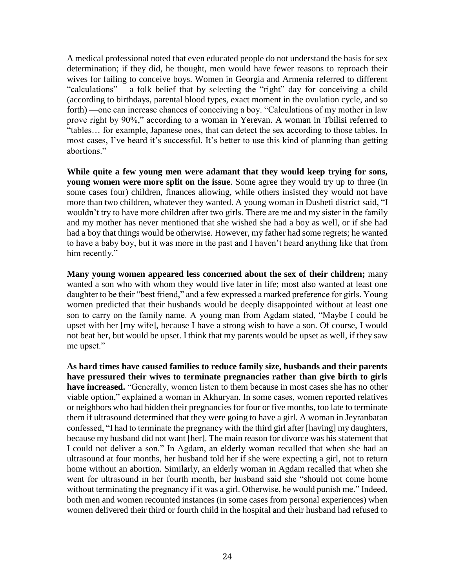A medical professional noted that even educated people do not understand the basis for sex determination; if they did, he thought, men would have fewer reasons to reproach their wives for failing to conceive boys. Women in Georgia and Armenia referred to different "calculations" – a folk belief that by selecting the "right" day for conceiving a child (according to birthdays, parental blood types, exact moment in the ovulation cycle, and so forth) —one can increase chances of conceiving a boy. "Calculations of my mother in law prove right by 90%," according to a woman in Yerevan. A woman in Tbilisi referred to "tables… for example, Japanese ones, that can detect the sex according to those tables. In most cases, I've heard it's successful. It's better to use this kind of planning than getting abortions."

**While quite a few young men were adamant that they would keep trying for sons, young women were more split on the issue**. Some agree they would try up to three (in some cases four) children, finances allowing, while others insisted they would not have more than two children, whatever they wanted. A young woman in Dusheti district said, "I wouldn't try to have more children after two girls. There are me and my sister in the family and my mother has never mentioned that she wished she had a boy as well, or if she had had a boy that things would be otherwise. However, my father had some regrets; he wanted to have a baby boy, but it was more in the past and I haven't heard anything like that from him recently."

**Many young women appeared less concerned about the sex of their children;** many wanted a son who with whom they would live later in life; most also wanted at least one daughter to be their "best friend," and a few expressed a marked preference for girls. Young women predicted that their husbands would be deeply disappointed without at least one son to carry on the family name. A young man from Agdam stated, "Maybe I could be upset with her [my wife], because I have a strong wish to have a son. Of course, I would not beat her, but would be upset. I think that my parents would be upset as well, if they saw me upset."

**As hard times have caused families to reduce family size, husbands and their parents have pressured their wives to terminate pregnancies rather than give birth to girls have increased.** "Generally, women listen to them because in most cases she has no other viable option," explained a woman in Akhuryan. In some cases, women reported relatives or neighbors who had hidden their pregnancies for four or five months, too late to terminate them if ultrasound determined that they were going to have a girl. A woman in Jeyranbatan confessed, "I had to terminate the pregnancy with the third girl after [having] my daughters, because my husband did not want [her]. The main reason for divorce was his statement that I could not deliver a son." In Agdam, an elderly woman recalled that when she had an ultrasound at four months, her husband told her if she were expecting a girl, not to return home without an abortion. Similarly, an elderly woman in Agdam recalled that when she went for ultrasound in her fourth month, her husband said she "should not come home without terminating the pregnancy if it was a girl. Otherwise, he would punish me." Indeed, both men and women recounted instances (in some cases from personal experiences) when women delivered their third or fourth child in the hospital and their husband had refused to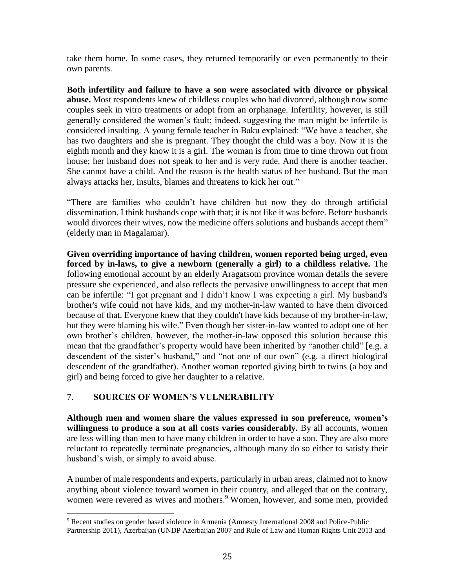take them home. In some cases, they returned temporarily or even permanently to their own parents.

**Both infertility and failure to have a son were associated with divorce or physical abuse.** Most respondents knew of childless couples who had divorced, although now some couples seek in vitro treatments or adopt from an orphanage. Infertility, however, is still generally considered the women's fault; indeed, suggesting the man might be infertile is considered insulting. A young female teacher in Baku explained: "We have a teacher, she has two daughters and she is pregnant. They thought the child was a boy. Now it is the eighth month and they know it is a girl. The woman is from time to time thrown out from house; her husband does not speak to her and is very rude. And there is another teacher. She cannot have a child. And the reason is the health status of her husband. But the man always attacks her, insults, blames and threatens to kick her out."

"There are families who couldn't have children but now they do through artificial dissemination. I think husbands cope with that; it is not like it was before. Before husbands would divorces their wives, now the medicine offers solutions and husbands accept them" (elderly man in Magalamar).

**Given overriding importance of having children, women reported being urged, even forced by in-laws, to give a newborn (generally a girl) to a childless relative.** The following emotional account by an elderly Aragatsotn province woman details the severe pressure she experienced, and also reflects the pervasive unwillingness to accept that men can be infertile: "I got pregnant and I didn't know I was expecting a girl. My husband's brother's wife could not have kids, and my mother-in-law wanted to have them divorced because of that. Everyone knew that they couldn't have kids because of my brother-in-law, but they were blaming his wife." Even though her sister-in-law wanted to adopt one of her own brother's children, however, the mother-in-law opposed this solution because this mean that the grandfather's property would have been inherited by "another child" [e.g. a descendent of the sister's husband," and "not one of our own" (e.g. a direct biological descendent of the grandfather). Another woman reported giving birth to twins (a boy and girl) and being forced to give her daughter to a relative.

## 7. **SOURCES OF WOMEN'S VULNERABILITY**

l

**Although men and women share the values expressed in son preference, women's**  willingness to produce a son at all costs varies considerably. By all accounts, women are less willing than men to have many children in order to have a son. They are also more reluctant to repeatedly terminate pregnancies, although many do so either to satisfy their husband's wish, or simply to avoid abuse.

A number of male respondents and experts, particularly in urban areas, claimed not to know anything about violence toward women in their country, and alleged that on the contrary, women were revered as wives and mothers.<sup>9</sup> Women, however, and some men, provided

<sup>9</sup> Recent studies on gender based violence in Armenia (Amnesty International 2008 and Police-Public Partnership 2011), Azerbaijan (UNDP Azerbaijan 2007 and Rule of Law and Human Rights Unit 2013 and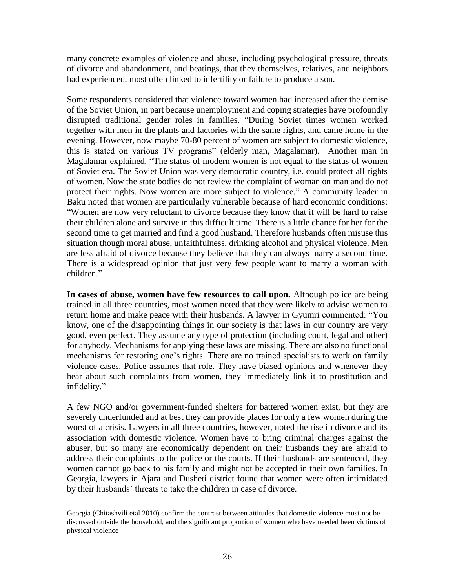many concrete examples of violence and abuse, including psychological pressure, threats of divorce and abandonment, and beatings, that they themselves, relatives, and neighbors had experienced, most often linked to infertility or failure to produce a son.

Some respondents considered that violence toward women had increased after the demise of the Soviet Union, in part because unemployment and coping strategies have profoundly disrupted traditional gender roles in families. "During Soviet times women worked together with men in the plants and factories with the same rights, and came home in the evening. However, now maybe 70-80 percent of women are subject to domestic violence, this is stated on various TV programs" (elderly man, Magalamar). Another man in Magalamar explained, "The status of modern women is not equal to the status of women of Soviet era. The Soviet Union was very democratic country, i.e. could protect all rights of women. Now the state bodies do not review the complaint of woman on man and do not protect their rights. Now women are more subject to violence." A community leader in Baku noted that women are particularly vulnerable because of hard economic conditions: "Women are now very reluctant to divorce because they know that it will be hard to raise their children alone and survive in this difficult time. There is a little chance for her for the second time to get married and find a good husband. Therefore husbands often misuse this situation though moral abuse, unfaithfulness, drinking alcohol and physical violence. Men are less afraid of divorce because they believe that they can always marry a second time. There is a widespread opinion that just very few people want to marry a woman with children."

**In cases of abuse, women have few resources to call upon.** Although police are being trained in all three countries, most women noted that they were likely to advise women to return home and make peace with their husbands. A lawyer in Gyumri commented: "You know, one of the disappointing things in our society is that laws in our country are very good, even perfect. They assume any type of protection (including court, legal and other) for anybody. Mechanisms for applying these laws are missing. There are also no functional mechanisms for restoring one's rights. There are no trained specialists to work on family violence cases. Police assumes that role. They have biased opinions and whenever they hear about such complaints from women, they immediately link it to prostitution and infidelity."

A few NGO and/or government-funded shelters for battered women exist, but they are severely underfunded and at best they can provide places for only a few women during the worst of a crisis. Lawyers in all three countries, however, noted the rise in divorce and its association with domestic violence. Women have to bring criminal charges against the abuser, but so many are economically dependent on their husbands they are afraid to address their complaints to the police or the courts. If their husbands are sentenced, they women cannot go back to his family and might not be accepted in their own families. In Georgia, lawyers in Ajara and Dusheti district found that women were often intimidated by their husbands' threats to take the children in case of divorce.

 $\overline{a}$ Georgia (Chitashvili etal 2010) confirm the contrast between attitudes that domestic violence must not be discussed outside the household, and the significant proportion of women who have needed been victims of physical violence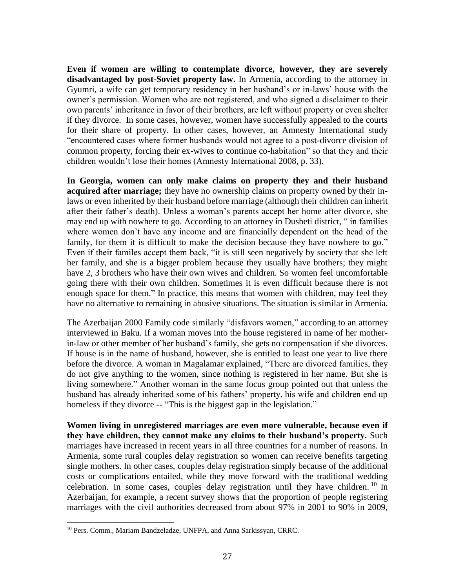**Even if women are willing to contemplate divorce, however, they are severely disadvantaged by post-Soviet property law.** In Armenia, according to the attorney in Gyumri, a wife can get temporary residency in her husband's or in-laws' house with the owner's permission. Women who are not registered, and who signed a disclaimer to their own parents' inheritance in favor of their brothers, are left without property or even shelter if they divorce. In some cases, however, women have successfully appealed to the courts for their share of property. In other cases, however, an Amnesty International study "encountered cases where former husbands would not agree to a post-divorce division of common property, forcing their ex-wives to continue co-habitation" so that they and their children wouldn't lose their homes (Amnesty International 2008, p. 33).

**In Georgia, women can only make claims on property they and their husband acquired after marriage;** they have no ownership claims on property owned by their inlaws or even inherited by their husband before marriage (although their children can inherit after their father's death). Unless a woman's parents accept her home after divorce, she may end up with nowhere to go. According to an attorney in Dusheti district, " in families where women don't have any income and are financially dependent on the head of the family, for them it is difficult to make the decision because they have nowhere to go." Even if their familes accept them back, "it is still seen negatively by society that she left her family, and she is a bigger problem because they usually have brothers; they might have 2, 3 brothers who have their own wives and children. So women feel uncomfortable going there with their own children. Sometimes it is even difficult because there is not enough space for them." In practice, this means that women with children, may feel they have no alternative to remaining in abusive situations. The situation is similar in Armenia.

The Azerbaijan 2000 Family code similarly "disfavors women," according to an attorney interviewed in Baku. If a woman moves into the house registered in name of her motherin-law or other member of her husband's family, she gets no compensation if she divorces. If house is in the name of husband, however, she is entitled to least one year to live there before the divorce. A woman in Magalamar explained, "There are divorced families, they do not give anything to the women, since nothing is registered in her name. But she is living somewhere." Another woman in the same focus group pointed out that unless the husband has already inherited some of his fathers' property, his wife and children end up homeless if they divorce -- "This is the biggest gap in the legislation."

**Women living in unregistered marriages are even more vulnerable, because even if they have children, they cannot make any claims to their husband's property.** Such marriages have increased in recent years in all three countries for a number of reasons. In Armenia, some rural couples delay registration so women can receive benefits targeting single mothers. In other cases, couples delay registration simply because of the additional costs or complications entailed, while they move forward with the traditional wedding celebration. In some cases, couples delay registration until they have children. <sup>10</sup> In Azerbaijan, for example, a recent survey shows that the proportion of people registering marriages with the civil authorities decreased from about 97% in 2001 to 90% in 2009,

 $\overline{a}$ 

<sup>&</sup>lt;sup>10</sup> Pers. Comm., Mariam Bandzeladze, UNFPA, and Anna Sarkissyan, CRRC.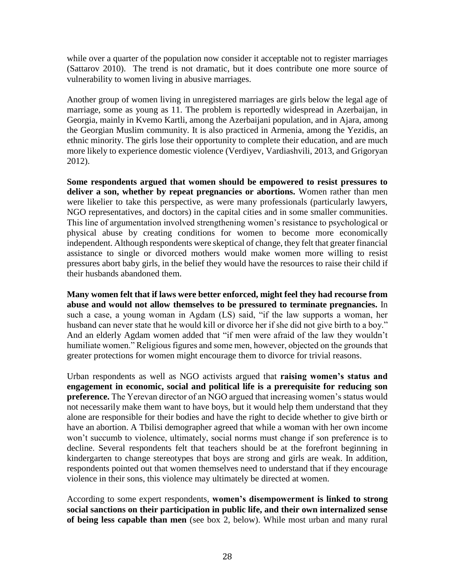while over a quarter of the population now consider it acceptable not to register marriages (Sattarov 2010). The trend is not dramatic, but it does contribute one more source of vulnerability to women living in abusive marriages.

Another group of women living in unregistered marriages are girls below the legal age of marriage, some as young as 11. The problem is reportedly widespread in Azerbaijan, in Georgia, mainly in Kvemo Kartli, among the Azerbaijani population, and in Ajara, among the Georgian Muslim community. It is also practiced in Armenia, among the Yezidis, an ethnic minority. The girls lose their opportunity to complete their education, and are much more likely to experience domestic violence (Verdiyev, Vardiashvili, 2013, and Grigoryan 2012).

**Some respondents argued that women should be empowered to resist pressures to deliver a son, whether by repeat pregnancies or abortions.** Women rather than men were likelier to take this perspective, as were many professionals (particularly lawyers, NGO representatives, and doctors) in the capital cities and in some smaller communities. This line of argumentation involved strengthening women's resistance to psychological or physical abuse by creating conditions for women to become more economically independent. Although respondents were skeptical of change, they felt that greater financial assistance to single or divorced mothers would make women more willing to resist pressures abort baby girls, in the belief they would have the resources to raise their child if their husbands abandoned them.

**Many women felt that if laws were better enforced, might feel they had recourse from abuse and would not allow themselves to be pressured to terminate pregnancies.** In such a case, a young woman in Agdam (LS) said, "if the law supports a woman, her husband can never state that he would kill or divorce her if she did not give birth to a boy." And an elderly Agdam women added that "if men were afraid of the law they wouldn't humiliate women." Religious figures and some men, however, objected on the grounds that greater protections for women might encourage them to divorce for trivial reasons.

Urban respondents as well as NGO activists argued that **raising women's status and engagement in economic, social and political life is a prerequisite for reducing son preference.** The Yerevan director of an NGO argued that increasing women's status would not necessarily make them want to have boys, but it would help them understand that they alone are responsible for their bodies and have the right to decide whether to give birth or have an abortion. A Tbilisi demographer agreed that while a woman with her own income won't succumb to violence, ultimately, social norms must change if son preference is to decline. Several respondents felt that teachers should be at the forefront beginning in kindergarten to change stereotypes that boys are strong and girls are weak. In addition, respondents pointed out that women themselves need to understand that if they encourage violence in their sons, this violence may ultimately be directed at women.

According to some expert respondents, **women's disempowerment is linked to strong social sanctions on their participation in public life, and their own internalized sense of being less capable than men** (see box 2, below). While most urban and many rural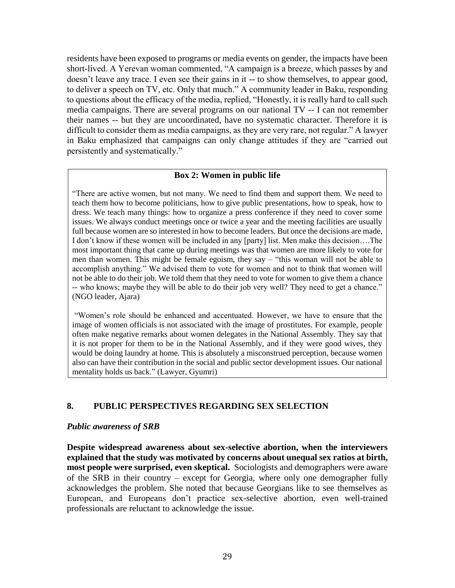residents have been exposed to programs or media events on gender, the impacts have been short-lived. A Yerevan woman commented, "A campaign is a breeze, which passes by and doesn't leave any trace. I even see their gains in it -- to show themselves, to appear good, to deliver a speech on TV, etc. Only that much." A community leader in Baku, responding to questions about the efficacy of the media, replied, "Honestly, it is really hard to call such media campaigns. There are several programs on our national TV -- I can not remember their names -- but they are uncoordinated, have no systematic character. Therefore it is difficult to consider them as media campaigns, as they are very rare, not regular." A lawyer in Baku emphasized that campaigns can only change attitudes if they are "carried out persistently and systematically."

### **Box 2: Women in public life**

"There are active women, but not many. We need to find them and support them. We need to teach them how to become politicians, how to give public presentations, how to speak, how to dress. We teach many things: how to organize a press conference if they need to cover some issues. We always conduct meetings once or twice a year and the meeting facilities are usually full because women are so interested in how to become leaders. But once the decisions are made, I don't know if these women will be included in any [party] list. Men make this decision….The most important thing that came up during meetings was that women are more likely to vote for men than women. This might be female egoism, they say – "this woman will not be able to accomplish anything." We advised them to vote for women and not to think that women will not be able to do their job. We told them that they need to vote for women to give them a chance -- who knows; maybe they will be able to do their job very well? They need to get a chance." (NGO leader, Ajara)

"Women's role should be enhanced and accentuated. However, we have to ensure that the image of women officials is not associated with the image of prostitutes. For example, people often make negative remarks about women delegates in the National Assembly. They say that it is not proper for them to be in the National Assembly, and if they were good wives, they would be doing laundry at home. This is absolutely a misconstrued perception, because women also can have their contribution in the social and public sector development issues. Our national mentality holds us back." (Lawyer, Gyumri)

# **8. PUBLIC PERSPECTIVES REGARDING SEX SELECTION**

## *Public awareness of SRB*

**Despite widespread awareness about sex-selective abortion, when the interviewers explained that the study was motivated by concerns about unequal sex ratios at birth, most people were surprised, even skeptical.** Sociologists and demographers were aware of the SRB in their country – except for Georgia, where only one demographer fully acknowledges the problem. She noted that because Georgians like to see themselves as European, and Europeans don't practice sex-selective abortion, even well-trained professionals are reluctant to acknowledge the issue.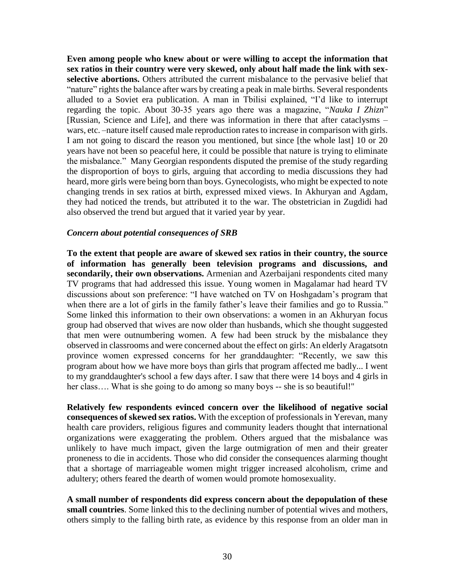**Even among people who knew about or were willing to accept the information that sex ratios in their country were very skewed, only about half made the link with sexselective abortions.** Others attributed the current misbalance to the pervasive belief that "nature" rights the balance after wars by creating a peak in male births. Several respondents alluded to a Soviet era publication. A man in Tbilisi explained, "I'd like to interrupt regarding the topic. About 30-35 years ago there was a magazine, "*Nauka I Zhizn*" [Russian, Science and Life], and there was information in there that after cataclysms – wars, etc. –nature itself caused male reproduction rates to increase in comparison with girls. I am not going to discard the reason you mentioned, but since [the whole last] 10 or 20 years have not been so peaceful here, it could be possible that nature is trying to eliminate the misbalance." Many Georgian respondents disputed the premise of the study regarding the disproportion of boys to girls, arguing that according to media discussions they had heard, more girls were being born than boys. Gynecologists, who might be expected to note changing trends in sex ratios at birth, expressed mixed views. In Akhuryan and Agdam, they had noticed the trends, but attributed it to the war. The obstetrician in Zugdidi had also observed the trend but argued that it varied year by year.

#### *Concern about potential consequences of SRB*

**To the extent that people are aware of skewed sex ratios in their country, the source of information has generally been television programs and discussions, and secondarily, their own observations.** Armenian and Azerbaijani respondents cited many TV programs that had addressed this issue. Young women in Magalamar had heard TV discussions about son preference: "I have watched on TV on Hoshgadam's program that when there are a lot of girls in the family father's leave their families and go to Russia." Some linked this information to their own observations: a women in an Akhuryan focus group had observed that wives are now older than husbands, which she thought suggested that men were outnumbering women. A few had been struck by the misbalance they observed in classrooms and were concerned about the effect on girls: An elderly Aragatsotn province women expressed concerns for her granddaughter: "Recently, we saw this program about how we have more boys than girls that program affected me badly... I went to my granddaughter's school a few days after. I saw that there were 14 boys and 4 girls in her class.... What is she going to do among so many boys -- she is so beautiful!"

**Relatively few respondents evinced concern over the likelihood of negative social consequences of skewed sex ratios.** With the exception of professionals in Yerevan, many health care providers, religious figures and community leaders thought that international organizations were exaggerating the problem. Others argued that the misbalance was unlikely to have much impact, given the large outmigration of men and their greater proneness to die in accidents. Those who did consider the consequences alarming thought that a shortage of marriageable women might trigger increased alcoholism, crime and adultery; others feared the dearth of women would promote homosexuality.

**A small number of respondents did express concern about the depopulation of these small countries**. Some linked this to the declining number of potential wives and mothers, others simply to the falling birth rate, as evidence by this response from an older man in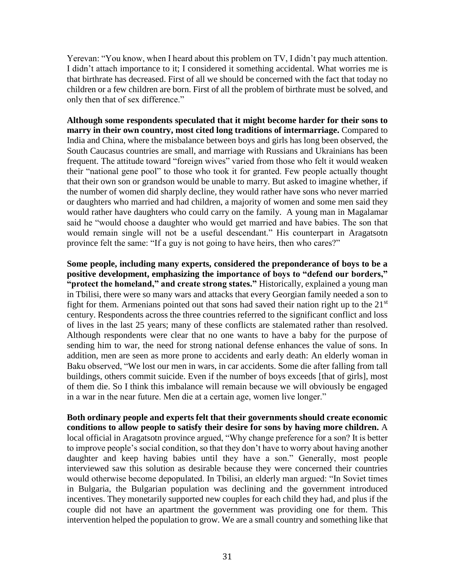Yerevan: "You know, when I heard about this problem on TV, I didn't pay much attention. I didn't attach importance to it; I considered it something accidental. What worries me is that birthrate has decreased. First of all we should be concerned with the fact that today no children or a few children are born. First of all the problem of birthrate must be solved, and only then that of sex difference."

**Although some respondents speculated that it might become harder for their sons to marry in their own country, most cited long traditions of intermarriage.** Compared to India and China, where the misbalance between boys and girls has long been observed, the South Caucasus countries are small, and marriage with Russians and Ukrainians has been frequent. The attitude toward "foreign wives" varied from those who felt it would weaken their "national gene pool" to those who took it for granted. Few people actually thought that their own son or grandson would be unable to marry. But asked to imagine whether, if the number of women did sharply decline, they would rather have sons who never married or daughters who married and had children, a majority of women and some men said they would rather have daughters who could carry on the family. A young man in Magalamar said he "would choose a daughter who would get married and have babies. The son that would remain single will not be a useful descendant." His counterpart in Aragatsotn province felt the same: "If a guy is not going to have heirs, then who cares?"

**Some people, including many experts, considered the preponderance of boys to be a positive development, emphasizing the importance of boys to "defend our borders," "protect the homeland," and create strong states."** Historically, explained a young man in Tbilisi, there were so many wars and attacks that every Georgian family needed a son to fight for them. Armenians pointed out that sons had saved their nation right up to the  $21<sup>st</sup>$ century. Respondents across the three countries referred to the significant conflict and loss of lives in the last 25 years; many of these conflicts are stalemated rather than resolved. Although respondents were clear that no one wants to have a baby for the purpose of sending him to war, the need for strong national defense enhances the value of sons. In addition, men are seen as more prone to accidents and early death: An elderly woman in Baku observed, "We lost our men in wars, in car accidents. Some die after falling from tall buildings, others commit suicide. Even if the number of boys exceeds [that of girls], most of them die. So I think this imbalance will remain because we will obviously be engaged in a war in the near future. Men die at a certain age, women live longer."

**Both ordinary people and experts felt that their governments should create economic conditions to allow people to satisfy their desire for sons by having more children.** A local official in Aragatsotn province argued, "Why change preference for a son? It is better to improve people's social condition, so that they don't have to worry about having another daughter and keep having babies until they have a son." Generally, most people interviewed saw this solution as desirable because they were concerned their countries would otherwise become depopulated. In Tbilisi, an elderly man argued: "In Soviet times in Bulgaria, the Bulgarian population was declining and the government introduced incentives. They monetarily supported new couples for each child they had, and plus if the couple did not have an apartment the government was providing one for them. This intervention helped the population to grow. We are a small country and something like that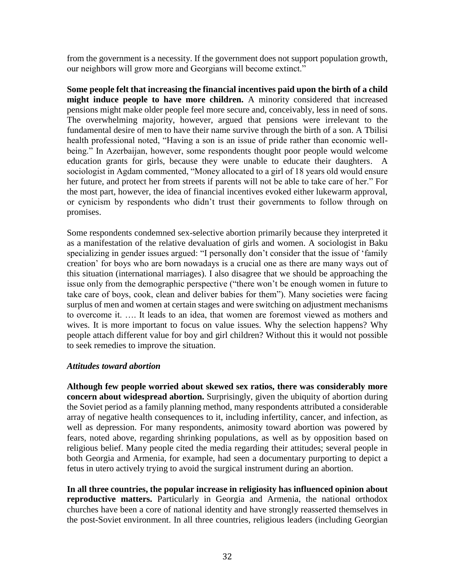from the government is a necessity. If the government does not support population growth, our neighbors will grow more and Georgians will become extinct."

**Some people felt that increasing the financial incentives paid upon the birth of a child might induce people to have more children.** A minority considered that increased pensions might make older people feel more secure and, conceivably, less in need of sons. The overwhelming majority, however, argued that pensions were irrelevant to the fundamental desire of men to have their name survive through the birth of a son. A Tbilisi health professional noted, "Having a son is an issue of pride rather than economic wellbeing." In Azerbaijan, however, some respondents thought poor people would welcome education grants for girls, because they were unable to educate their daughters. A sociologist in Agdam commented, "Money allocated to a girl of 18 years old would ensure her future, and protect her from streets if parents will not be able to take care of her." For the most part, however, the idea of financial incentives evoked either lukewarm approval, or cynicism by respondents who didn't trust their governments to follow through on promises.

Some respondents condemned sex-selective abortion primarily because they interpreted it as a manifestation of the relative devaluation of girls and women. A sociologist in Baku specializing in gender issues argued: "I personally don't consider that the issue of 'family creation' for boys who are born nowadays is a crucial one as there are many ways out of this situation (international marriages). I also disagree that we should be approaching the issue only from the demographic perspective ("there won't be enough women in future to take care of boys, cook, clean and deliver babies for them"). Many societies were facing surplus of men and women at certain stages and were switching on adjustment mechanisms to overcome it. …. It leads to an idea, that women are foremost viewed as mothers and wives. It is more important to focus on value issues. Why the selection happens? Why people attach different value for boy and girl children? Without this it would not possible to seek remedies to improve the situation.

### *Attitudes toward abortion*

**Although few people worried about skewed sex ratios, there was considerably more concern about widespread abortion.** Surprisingly, given the ubiquity of abortion during the Soviet period as a family planning method, many respondents attributed a considerable array of negative health consequences to it, including infertility, cancer, and infection, as well as depression. For many respondents, animosity toward abortion was powered by fears, noted above, regarding shrinking populations, as well as by opposition based on religious belief. Many people cited the media regarding their attitudes; several people in both Georgia and Armenia, for example, had seen a documentary purporting to depict a fetus in utero actively trying to avoid the surgical instrument during an abortion.

**In all three countries, the popular increase in religiosity has influenced opinion about reproductive matters.** Particularly in Georgia and Armenia, the national orthodox churches have been a core of national identity and have strongly reasserted themselves in the post-Soviet environment. In all three countries, religious leaders (including Georgian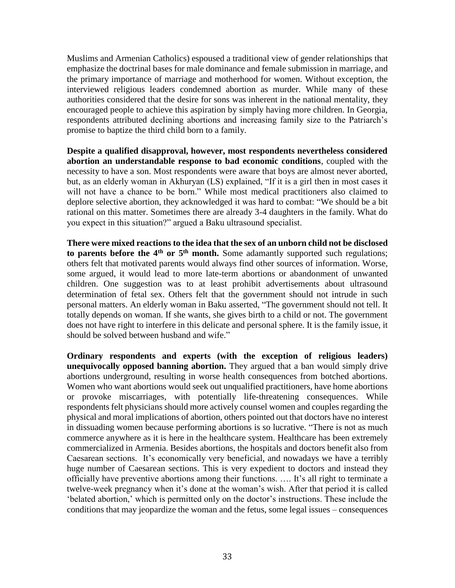Muslims and Armenian Catholics) espoused a traditional view of gender relationships that emphasize the doctrinal bases for male dominance and female submission in marriage, and the primary importance of marriage and motherhood for women. Without exception, the interviewed religious leaders condemned abortion as murder. While many of these authorities considered that the desire for sons was inherent in the national mentality, they encouraged people to achieve this aspiration by simply having more children. In Georgia, respondents attributed declining abortions and increasing family size to the Patriarch's promise to baptize the third child born to a family.

**Despite a qualified disapproval, however, most respondents nevertheless considered abortion an understandable response to bad economic conditions**, coupled with the necessity to have a son. Most respondents were aware that boys are almost never aborted, but, as an elderly woman in Akhuryan (LS) explained, "If it is a girl then in most cases it will not have a chance to be born." While most medical practitioners also claimed to deplore selective abortion, they acknowledged it was hard to combat: "We should be a bit rational on this matter. Sometimes there are already 3-4 daughters in the family. What do you expect in this situation?" argued a Baku ultrasound specialist.

**There were mixed reactions to the idea that the sex of an unborn child not be disclosed to parents before the 4th or 5th month.** Some adamantly supported such regulations; others felt that motivated parents would always find other sources of information. Worse, some argued, it would lead to more late-term abortions or abandonment of unwanted children. One suggestion was to at least prohibit advertisements about ultrasound determination of fetal sex. Others felt that the government should not intrude in such personal matters. An elderly woman in Baku asserted, "The government should not tell. It totally depends on woman. If she wants, she gives birth to a child or not. The government does not have right to interfere in this delicate and personal sphere. It is the family issue, it should be solved between husband and wife."

**Ordinary respondents and experts (with the exception of religious leaders) unequivocally opposed banning abortion.** They argued that a ban would simply drive abortions underground, resulting in worse health consequences from botched abortions. Women who want abortions would seek out unqualified practitioners, have home abortions or provoke miscarriages, with potentially life-threatening consequences. While respondents felt physicians should more actively counsel women and couples regarding the physical and moral implications of abortion, others pointed out that doctors have no interest in dissuading women because performing abortions is so lucrative. "There is not as much commerce anywhere as it is here in the healthcare system. Healthcare has been extremely commercialized in Armenia. Besides abortions, the hospitals and doctors benefit also from Caesarean sections. It's economically very beneficial, and nowadays we have a terribly huge number of Caesarean sections. This is very expedient to doctors and instead they officially have preventive abortions among their functions. …. It's all right to terminate a twelve-week pregnancy when it's done at the woman's wish. After that period it is called 'belated abortion,' which is permitted only on the doctor's instructions. These include the conditions that may jeopardize the woman and the fetus, some legal issues – consequences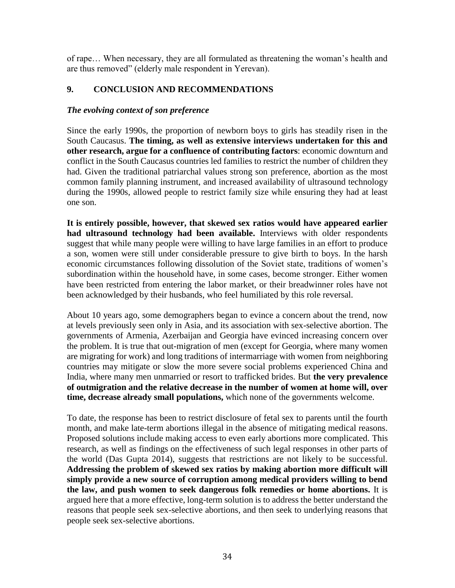of rape… When necessary, they are all formulated as threatening the woman's health and are thus removed" (elderly male respondent in Yerevan).

# **9. CONCLUSION AND RECOMMENDATIONS**

### *The evolving context of son preference*

Since the early 1990s, the proportion of newborn boys to girls has steadily risen in the South Caucasus. **The timing, as well as extensive interviews undertaken for this and other research, argue for a confluence of contributing factors**: economic downturn and conflict in the South Caucasus countries led families to restrict the number of children they had. Given the traditional patriarchal values strong son preference, abortion as the most common family planning instrument, and increased availability of ultrasound technology during the 1990s, allowed people to restrict family size while ensuring they had at least one son.

**It is entirely possible, however, that skewed sex ratios would have appeared earlier had ultrasound technology had been available.** Interviews with older respondents suggest that while many people were willing to have large families in an effort to produce a son, women were still under considerable pressure to give birth to boys. In the harsh economic circumstances following dissolution of the Soviet state, traditions of women's subordination within the household have, in some cases, become stronger. Either women have been restricted from entering the labor market, or their breadwinner roles have not been acknowledged by their husbands, who feel humiliated by this role reversal.

About 10 years ago, some demographers began to evince a concern about the trend, now at levels previously seen only in Asia, and its association with sex-selective abortion. The governments of Armenia, Azerbaijan and Georgia have evinced increasing concern over the problem. It is true that out-migration of men (except for Georgia, where many women are migrating for work) and long traditions of intermarriage with women from neighboring countries may mitigate or slow the more severe social problems experienced China and India, where many men unmarried or resort to trafficked brides. But **the very prevalence of outmigration and the relative decrease in the number of women at home will, over time, decrease already small populations,** which none of the governments welcome.

To date, the response has been to restrict disclosure of fetal sex to parents until the fourth month, and make late-term abortions illegal in the absence of mitigating medical reasons. Proposed solutions include making access to even early abortions more complicated. This research, as well as findings on the effectiveness of such legal responses in other parts of the world (Das Gupta 2014), suggests that restrictions are not likely to be successful. **Addressing the problem of skewed sex ratios by making abortion more difficult will simply provide a new source of corruption among medical providers willing to bend the law, and push women to seek dangerous folk remedies or home abortions.** It is argued here that a more effective, long-term solution is to address the better understand the reasons that people seek sex-selective abortions, and then seek to underlying reasons that people seek sex-selective abortions.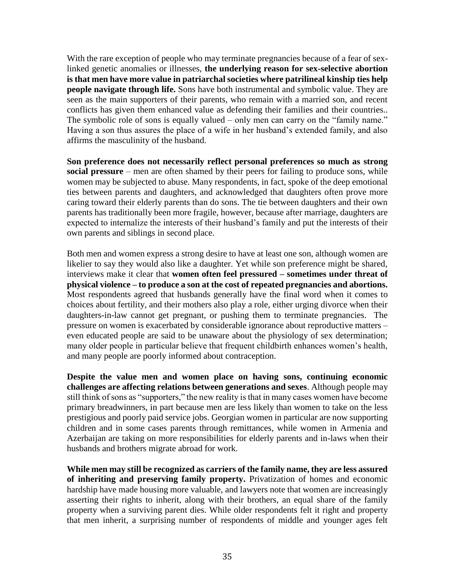With the rare exception of people who may terminate pregnancies because of a fear of sexlinked genetic anomalies or illnesses, **the underlying reason for sex-selective abortion is that men have more value in patriarchal societies where patrilineal kinship ties help people navigate through life.** Sons have both instrumental and symbolic value. They are seen as the main supporters of their parents, who remain with a married son, and recent conflicts has given them enhanced value as defending their families and their countries.. The symbolic role of sons is equally valued – only men can carry on the "family name." Having a son thus assures the place of a wife in her husband's extended family, and also affirms the masculinity of the husband.

**Son preference does not necessarily reflect personal preferences so much as strong social pressure** – men are often shamed by their peers for failing to produce sons, while women may be subjected to abuse. Many respondents, in fact, spoke of the deep emotional ties between parents and daughters, and acknowledged that daughters often prove more caring toward their elderly parents than do sons. The tie between daughters and their own parents has traditionally been more fragile, however, because after marriage, daughters are expected to internalize the interests of their husband's family and put the interests of their own parents and siblings in second place.

Both men and women express a strong desire to have at least one son, although women are likelier to say they would also like a daughter. Yet while son preference might be shared, interviews make it clear that **women often feel pressured – sometimes under threat of physical violence – to produce a son at the cost of repeated pregnancies and abortions.** Most respondents agreed that husbands generally have the final word when it comes to choices about fertility, and their mothers also play a role, either urging divorce when their daughters-in-law cannot get pregnant, or pushing them to terminate pregnancies. The pressure on women is exacerbated by considerable ignorance about reproductive matters – even educated people are said to be unaware about the physiology of sex determination; many older people in particular believe that frequent childbirth enhances women's health, and many people are poorly informed about contraception.

**Despite the value men and women place on having sons, continuing economic challenges are affecting relations between generations and sexes**. Although people may still think of sons as "supporters," the new reality is that in many cases women have become primary breadwinners, in part because men are less likely than women to take on the less prestigious and poorly paid service jobs. Georgian women in particular are now supporting children and in some cases parents through remittances, while women in Armenia and Azerbaijan are taking on more responsibilities for elderly parents and in-laws when their husbands and brothers migrate abroad for work.

**While men may still be recognized as carriers of the family name, they are less assured of inheriting and preserving family property.** Privatization of homes and economic hardship have made housing more valuable, and lawyers note that women are increasingly asserting their rights to inherit, along with their brothers, an equal share of the family property when a surviving parent dies. While older respondents felt it right and property that men inherit, a surprising number of respondents of middle and younger ages felt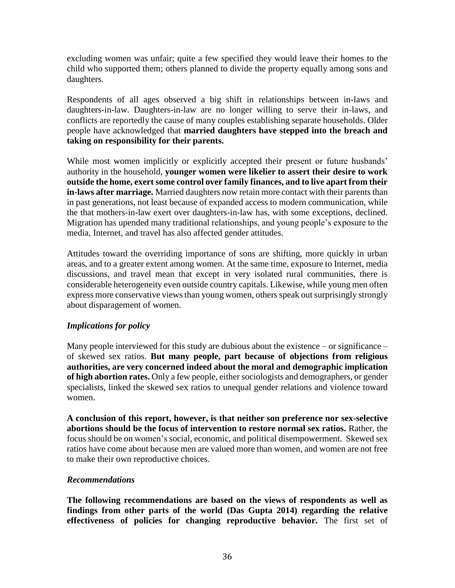excluding women was unfair; quite a few specified they would leave their homes to the child who supported them; others planned to divide the property equally among sons and daughters.

Respondents of all ages observed a big shift in relationships between in-laws and daughters-in-law. Daughters-in-law are no longer willing to serve their in-laws, and conflicts are reportedly the cause of many couples establishing separate households. Older people have acknowledged that **married daughters have stepped into the breach and taking on responsibility for their parents.**

While most women implicitly or explicitly accepted their present or future husbands' authority in the household, **younger women were likelier to assert their desire to work outside the home, exert some control over family finances, and to live apart from their in-laws after marriage.** Married daughters now retain more contact with their parents than in past generations, not least because of expanded access to modern communication, while the that mothers-in-law exert over daughters-in-law has, with some exceptions, declined. Migration has upended many traditional relationships, and young people's exposure to the media, Internet, and travel has also affected gender attitudes.

Attitudes toward the overriding importance of sons are shifting, more quickly in urban areas, and to a greater extent among women. At the same time, exposure to Internet, media discussions, and travel mean that except in very isolated rural communities, there is considerable heterogeneity even outside country capitals. Likewise, while young men often express more conservative views than young women, others speak out surprisingly strongly about disparagement of women.

# *Implications for policy*

Many people interviewed for this study are dubious about the existence – or significance – of skewed sex ratios. **But many people, part because of objections from religious authorities, are very concerned indeed about the moral and demographic implication of high abortion rates.** Only a few people, either sociologists and demographers, or gender specialists, linked the skewed sex ratios to unequal gender relations and violence toward women.

**A conclusion of this report, however, is that neither son preference nor sex-selective abortions should be the focus of intervention to restore normal sex ratios.** Rather, the focus should be on women's social, economic, and political disempowerment. Skewed sex ratios have come about because men are valued more than women, and women are not free to make their own reproductive choices.

## *Recommendations*

**The following recommendations are based on the views of respondents as well as findings from other parts of the world (Das Gupta 2014) regarding the relative effectiveness of policies for changing reproductive behavior.** The first set of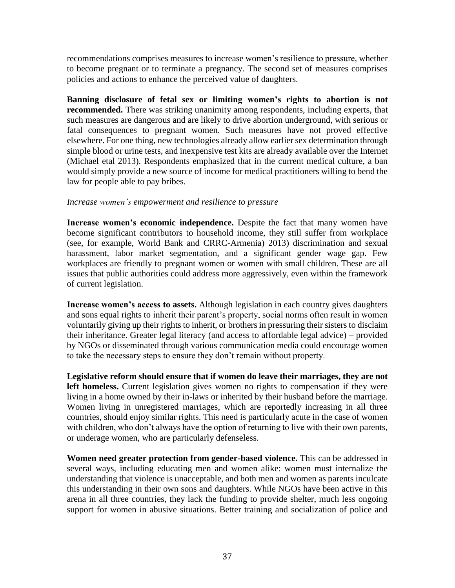recommendations comprises measures to increase women's resilience to pressure, whether to become pregnant or to terminate a pregnancy. The second set of measures comprises policies and actions to enhance the perceived value of daughters.

**Banning disclosure of fetal sex or limiting women's rights to abortion is not recommended.** There was striking unanimity among respondents, including experts, that such measures are dangerous and are likely to drive abortion underground, with serious or fatal consequences to pregnant women. Such measures have not proved effective elsewhere. For one thing, new technologies already allow earlier sex determination through simple blood or urine tests, and inexpensive test kits are already available over the Internet (Michael etal 2013). Respondents emphasized that in the current medical culture, a ban would simply provide a new source of income for medical practitioners willing to bend the law for people able to pay bribes.

### *Increase women's empowerment and resilience to pressure*

**Increase women's economic independence.** Despite the fact that many women have become significant contributors to household income, they still suffer from workplace (see, for example, World Bank and CRRC-Armenia) 2013) discrimination and sexual harassment, labor market segmentation, and a significant gender wage gap. Few workplaces are friendly to pregnant women or women with small children. These are all issues that public authorities could address more aggressively, even within the framework of current legislation.

**Increase women's access to assets.** Although legislation in each country gives daughters and sons equal rights to inherit their parent's property, social norms often result in women voluntarily giving up their rights to inherit, or brothers in pressuring their sisters to disclaim their inheritance. Greater legal literacy (and access to affordable legal advice) – provided by NGOs or disseminated through various communication media could encourage women to take the necessary steps to ensure they don't remain without property.

**Legislative reform should ensure that if women do leave their marriages, they are not**  left homeless. Current legislation gives women no rights to compensation if they were living in a home owned by their in-laws or inherited by their husband before the marriage. Women living in unregistered marriages, which are reportedly increasing in all three countries, should enjoy similar rights. This need is particularly acute in the case of women with children, who don't always have the option of returning to live with their own parents, or underage women, who are particularly defenseless.

**Women need greater protection from gender-based violence.** This can be addressed in several ways, including educating men and women alike: women must internalize the understanding that violence is unacceptable, and both men and women as parents inculcate this understanding in their own sons and daughters. While NGOs have been active in this arena in all three countries, they lack the funding to provide shelter, much less ongoing support for women in abusive situations. Better training and socialization of police and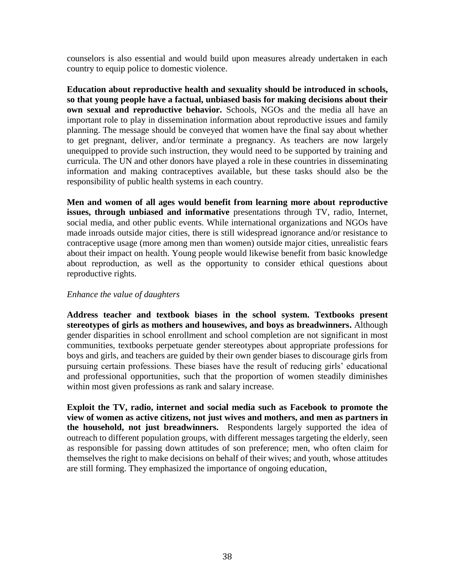counselors is also essential and would build upon measures already undertaken in each country to equip police to domestic violence.

**Education about reproductive health and sexuality should be introduced in schools, so that young people have a factual, unbiased basis for making decisions about their own sexual and reproductive behavior.** Schools, NGOs and the media all have an important role to play in dissemination information about reproductive issues and family planning. The message should be conveyed that women have the final say about whether to get pregnant, deliver, and/or terminate a pregnancy. As teachers are now largely unequipped to provide such instruction, they would need to be supported by training and curricula. The UN and other donors have played a role in these countries in disseminating information and making contraceptives available, but these tasks should also be the responsibility of public health systems in each country.

**Men and women of all ages would benefit from learning more about reproductive issues, through unbiased and informative** presentations through TV, radio, Internet, social media, and other public events. While international organizations and NGOs have made inroads outside major cities, there is still widespread ignorance and/or resistance to contraceptive usage (more among men than women) outside major cities, unrealistic fears about their impact on health. Young people would likewise benefit from basic knowledge about reproduction, as well as the opportunity to consider ethical questions about reproductive rights.

### *Enhance the value of daughters*

**Address teacher and textbook biases in the school system. Textbooks present stereotypes of girls as mothers and housewives, and boys as breadwinners.** Although gender disparities in school enrollment and school completion are not significant in most communities, textbooks perpetuate gender stereotypes about appropriate professions for boys and girls, and teachers are guided by their own gender biases to discourage girls from pursuing certain professions. These biases have the result of reducing girls' educational and professional opportunities, such that the proportion of women steadily diminishes within most given professions as rank and salary increase.

**Exploit the TV, radio, internet and social media such as Facebook to promote the view of women as active citizens, not just wives and mothers, and men as partners in the household, not just breadwinners.** Respondents largely supported the idea of outreach to different population groups, with different messages targeting the elderly, seen as responsible for passing down attitudes of son preference; men, who often claim for themselves the right to make decisions on behalf of their wives; and youth, whose attitudes are still forming. They emphasized the importance of ongoing education,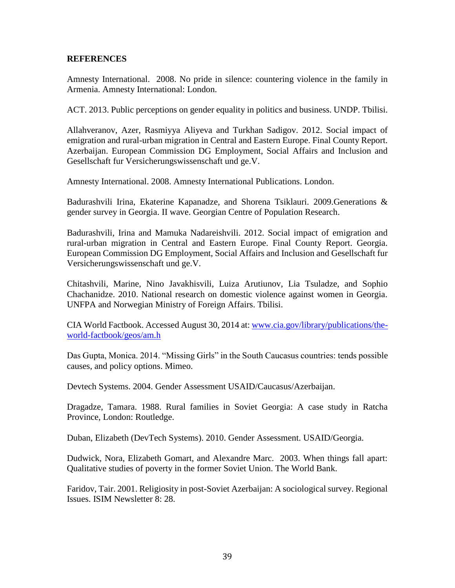#### **REFERENCES**

Amnesty International. 2008. No pride in silence: countering violence in the family in Armenia. Amnesty International: London.

ACT. 2013. Public perceptions on gender equality in politics and business. UNDP. Tbilisi.

Allahveranov, Azer, Rasmiyya Aliyeva and Turkhan Sadigov. 2012. Social impact of emigration and rural-urban migration in Central and Eastern Europe. Final County Report. Azerbaijan. European Commission DG Employment, Social Affairs and Inclusion and Gesellschaft fur Versicherungswissenschaft und ge.V.

Amnesty International. 2008. Amnesty International Publications. London.

Badurashvili Irina, Ekaterine Kapanadze, and Shorena Tsiklauri. 2009.Generations & gender survey in Georgia. II wave. Georgian Centre of Population Research.

Badurashvili, Irina and Mamuka Nadareishvili. 2012. Social impact of emigration and rural-urban migration in Central and Eastern Europe. Final County Report. Georgia. European Commission DG Employment, Social Affairs and Inclusion and Gesellschaft fur Versicherungswissenschaft und ge.V.

Chitashvili, Marine, Nino Javakhisvili, Luiza Arutiunov, Lia Tsuladze, and Sophio Chachanidze. 2010. National research on domestic violence against women in Georgia. UNFPA and Norwegian Ministry of Foreign Affairs. Tbilisi.

CIA World Factbook. Accessed August 30, 2014 at[: www.cia.gov/library/publications/the](http://www.cia.gov/library/publications/the-world-factbook/geos/am.h)[world-factbook/geos/am.h](http://www.cia.gov/library/publications/the-world-factbook/geos/am.h)

Das Gupta, Monica. 2014. "Missing Girls" in the South Caucasus countries: tends possible causes, and policy options. Mimeo.

Devtech Systems. 2004. Gender Assessment USAID/Caucasus/Azerbaijan.

Dragadze, Tamara. 1988. Rural families in Soviet Georgia: A case study in Ratcha Province, London: Routledge.

Duban, Elizabeth (DevTech Systems). 2010. Gender Assessment. USAID/Georgia.

Dudwick, Nora, Elizabeth Gomart, and Alexandre Marc. 2003. When things fall apart: Qualitative studies of poverty in the former Soviet Union. The World Bank.

Faridov, Tair. 2001. Religiosity in post-Soviet Azerbaijan: A sociological survey. Regional Issues. ISIM Newsletter 8: 28.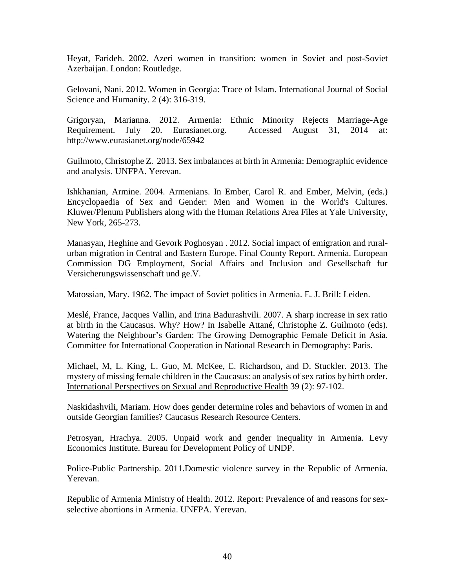Heyat, Farideh. 2002. Azeri women in transition: women in Soviet and post-Soviet Azerbaijan. London: Routledge.

Gelovani, Nani. 2012. Women in Georgia: Trace of Islam. International Journal of Social Science and Humanity. 2 (4): 316-319.

Grigoryan, Marianna. 2012. Armenia: Ethnic Minority Rejects Marriage-Age Requirement. July 20. Eurasianet.org. Accessed August 31, 2014 at: http://www.eurasianet.org/node/65942

Guilmoto, Christophe Z. 2013. Sex imbalances at birth in Armenia: Demographic evidence and analysis. UNFPA. Yerevan.

Ishkhanian, Armine. 2004. Armenians. In Ember, Carol R. and Ember, Melvin, (eds.) Encyclopaedia of Sex and Gender: Men and Women in the World's Cultures. Kluwer/Plenum Publishers along with the Human Relations Area Files at Yale University, New York, 265-273.

Manasyan, Heghine and Gevork Poghosyan . 2012. Social impact of emigration and ruralurban migration in Central and Eastern Europe. Final County Report. Armenia. European Commission DG Employment, Social Affairs and Inclusion and Gesellschaft fur Versicherungswissenschaft und ge.V.

Matossian, Mary. 1962. The impact of Soviet politics in Armenia. E. J. Brill: Leiden.

Meslé, France, Jacques Vallin, and Irina Badurashvili. 2007. A sharp increase in sex ratio at birth in the Caucasus. Why? How? In Isabelle Attané, Christophe Z. Guilmoto (eds). Watering the Neighbour's Garden: The Growing Demographic Female Deficit in Asia. Committee for International Cooperation in National Research in Demography: Paris.

Michael, M, L. King, L. Guo, M. McKee, E. Richardson, and D. Stuckler. 2013. The mystery of missing female children in the Caucasus: an analysis of sex ratios by birth order. International Perspectives on Sexual and Reproductive Health 39 (2): 97-102.

Naskidashvili, Mariam. How does gender determine roles and behaviors of women in and outside Georgian families? Caucasus Research Resource Centers.

Petrosyan, Hrachya. 2005. Unpaid work and gender inequality in Armenia. Levy Economics Institute. Bureau for Development Policy of UNDP.

Police-Public Partnership. 2011.Domestic violence survey in the Republic of Armenia. Yerevan.

Republic of Armenia Ministry of Health. 2012. Report: Prevalence of and reasons for sexselective abortions in Armenia. UNFPA. Yerevan.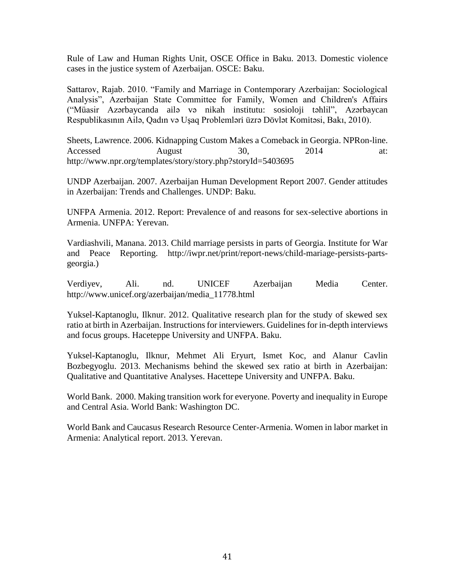Rule of Law and Human Rights Unit, OSCE Office in Baku. 2013. Domestic violence cases in the justice system of Azerbaijan. OSCE: Baku.

Sattarov, Rajab. 2010. "Family and Marriage in Contemporary Azerbaijan: Sociological Analysis", Azerbaijan State Committee for Family, Women and Children's Affairs ("Müasir Azərbaycanda ailə və nikah institutu: sosioloji təhlil", Azərbaycan Respublikasının Ailə, Qadın və Uşaq Problemləri üzrə Dövlət Komitəsi, Bakı, 2010).

Sheets, Lawrence. 2006. Kidnapping Custom Makes a Comeback in Georgia. NPRon-line. Accessed August 30, 2014 at: http://www.npr.org/templates/story/story.php?storyId=5403695

UNDP Azerbaijan. 2007. Azerbaijan Human Development Report 2007. Gender attitudes in Azerbaijan: Trends and Challenges. UNDP: Baku.

UNFPA Armenia. 2012. Report: Prevalence of and reasons for sex-selective abortions in Armenia. UNFPA: Yerevan.

Vardiashvili, Manana. 2013. Child marriage persists in parts of Georgia. Institute for War and Peace Reporting. http://iwpr.net/print/report-news/child-mariage-persists-partsgeorgia.)

Verdiyev, Ali. nd. UNICEF Azerbaijan Media Center. http://www.unicef.org/azerbaijan/media\_11778.html

Yuksel-Kaptanoglu, Ilknur. 2012. Qualitative research plan for the study of skewed sex ratio at birth in Azerbaijan. Instructions for interviewers. Guidelines for in-depth interviews and focus groups. Haceteppe University and UNFPA. Baku.

Yuksel-Kaptanoglu, Ilknur, Mehmet Ali Eryurt, Ismet Koc, and Alanur Cavlin Bozbegyoglu. 2013. Mechanisms behind the skewed sex ratio at birth in Azerbaijan: Qualitative and Quantitative Analyses. Hacettepe University and UNFPA. Baku.

World Bank. 2000. Making transition work for everyone. Poverty and inequality in Europe and Central Asia. World Bank: Washington DC.

World Bank and Caucasus Research Resource Center-Armenia. Women in labor market in Armenia: Analytical report. 2013. Yerevan.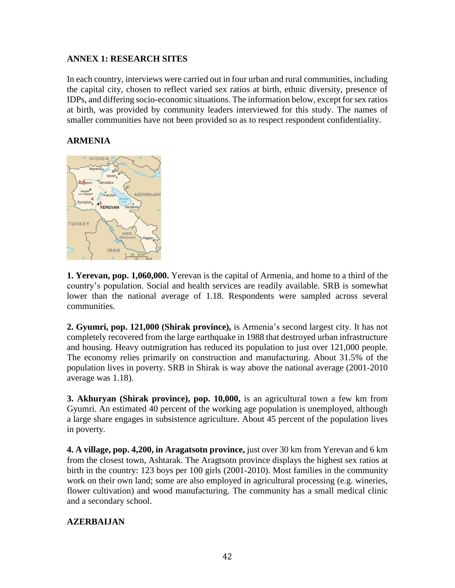### **ANNEX 1: RESEARCH SITES**

In each country, interviews were carried out in four urban and rural communities, including the capital city, chosen to reflect varied sex ratios at birth, ethnic diversity, presence of IDPs, and differing socio-economic situations. The information below, except for sex ratios at birth, was provided by community leaders interviewed for this study. The names of smaller communities have not been provided so as to respect respondent confidentiality.

# **ARMENIA**



**1. Yerevan, pop. 1,060,000.** Yerevan is the capital of Armenia, and home to a third of the country's population. Social and health services are readily available. SRB is somewhat lower than the national average of 1.18. Respondents were sampled across several communities.

**2. Gyumri, pop. 121,000 (Shirak province),** is Armenia's second largest city. It has not completely recovered from the large earthquake in 1988 that destroyed urban infrastructure and housing. Heavy outmigration has reduced its population to just over 121,000 people. The economy relies primarily on construction and manufacturing. About 31.5% of the population lives in poverty. SRB in Shirak is way above the national average (2001-2010 average was 1.18).

**3. Akhuryan (Shirak province), pop. 10,000,** is an agricultural town a few km from Gyumri. An estimated 40 percent of the working age population is unemployed, although a large share engages in subsistence agriculture. About 45 percent of the population lives in poverty.

**4. A village, pop. 4,200, in Aragatsotn province,** just over 30 km from Yerevan and 6 km from the closest town, Ashtarak. The Aragtsotn province displays the highest sex ratios at birth in the country: 123 boys per 100 girls (2001-2010). Most families in the community work on their own land; some are also employed in agricultural processing (e.g. wineries, flower cultivation) and wood manufacturing. The community has a small medical clinic and a secondary school.

## **AZERBAIJAN**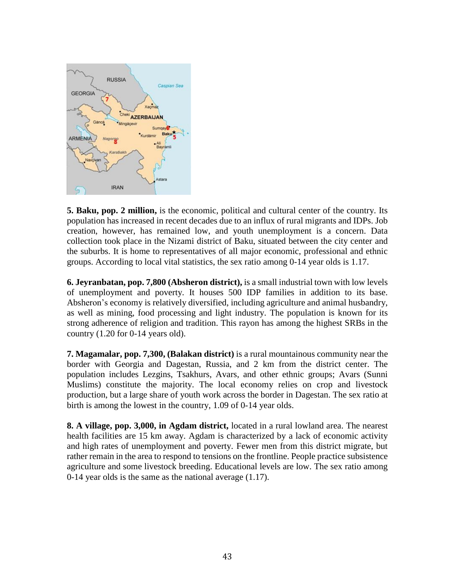

**5. Baku, pop. 2 million,** is the economic, political and cultural center of the country. Its population has increased in recent decades due to an influx of rural migrants and IDPs. Job creation, however, has remained low, and youth unemployment is a concern. Data collection took place in the Nizami district of Baku, situated between the city center and the suburbs. It is home to representatives of all major economic, professional and ethnic groups. According to local vital statistics, the sex ratio among 0-14 year olds is 1.17.

**6. Jeyranbatan, pop. 7,800 (Absheron district),** is a small industrial town with low levels of unemployment and poverty. It houses 500 IDP families in addition to its base. Absheron's economy is relatively diversified, including agriculture and animal husbandry, as well as mining, food processing and light industry. The population is known for its strong adherence of religion and tradition. This rayon has among the highest SRBs in the country (1.20 for 0-14 years old).

**7. Magamalar, pop. 7,300, (Balakan district)** is a rural mountainous community near the border with Georgia and Dagestan, Russia, and 2 km from the district center. The population includes Lezgins, Tsakhurs, Avars, and other ethnic groups; Avars (Sunni Muslims) constitute the majority. The local economy relies on crop and livestock production, but a large share of youth work across the border in Dagestan. The sex ratio at birth is among the lowest in the country, 1.09 of 0-14 year olds.

**8. A village, pop. 3,000, in Agdam district,** located in a rural lowland area. The nearest health facilities are 15 km away. Agdam is characterized by a lack of economic activity and high rates of unemployment and poverty. Fewer men from this district migrate, but rather remain in the area to respond to tensions on the frontline. People practice subsistence agriculture and some livestock breeding. Educational levels are low. The sex ratio among 0-14 year olds is the same as the national average (1.17).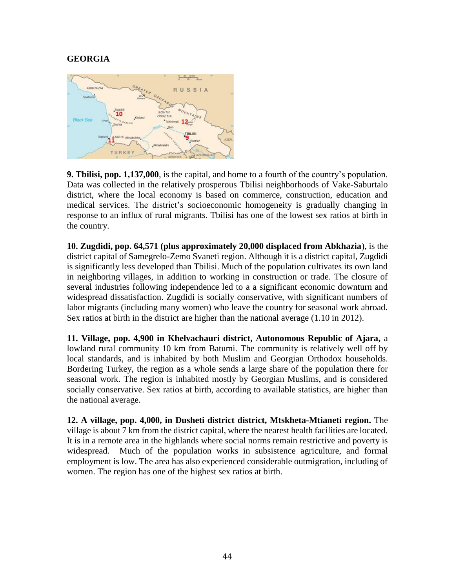# **GEORGIA**



**9. Tbilisi, pop. 1,137,000**, is the capital, and home to a fourth of the country's population. Data was collected in the relatively prosperous Tbilisi neighborhoods of Vake-Saburtalo district, where the local economy is based on commerce, construction, education and medical services. The district's socioeconomic homogeneity is gradually changing in response to an influx of rural migrants. Tbilisi has one of the lowest sex ratios at birth in the country.

**10. Zugdidi, pop. 64,571 (plus approximately 20,000 displaced from Abkhazia**), is the district capital of Samegrelo-Zemo Svaneti region. Although it is a district capital, Zugdidi is significantly less developed than Tbilisi. Much of the population cultivates its own land in neighboring villages, in addition to working in construction or trade. The closure of several industries following independence led to a a significant economic downturn and widespread dissatisfaction. Zugdidi is socially conservative, with significant numbers of labor migrants (including many women) who leave the country for seasonal work abroad. Sex ratios at birth in the district are higher than the national average (1.10 in 2012).

**11. Village, pop. 4,900 in Khelvachauri district, Autonomous Republic of Ajara,** a lowland rural community 10 km from Batumi. The community is relatively well off by local standards, and is inhabited by both Muslim and Georgian Orthodox households. Bordering Turkey, the region as a whole sends a large share of the population there for seasonal work. The region is inhabited mostly by Georgian Muslims, and is considered socially conservative. Sex ratios at birth, according to available statistics, are higher than the national average.

**12. A village, pop. 4,000, in Dusheti district district, Mtskheta-Mtianeti region.** The village is about 7 km from the district capital, where the nearest health facilities are located. It is in a remote area in the highlands where social norms remain restrictive and poverty is widespread. Much of the population works in subsistence agriculture, and formal employment is low. The area has also experienced considerable outmigration, including of women. The region has one of the highest sex ratios at birth.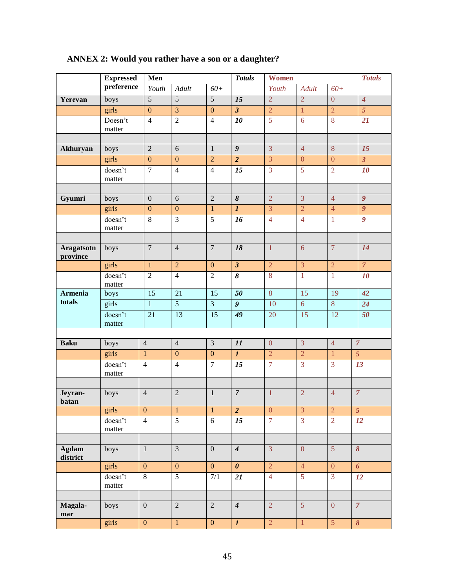|                               | <b>Expressed</b><br>preference | Men              |                 |                  | <b>Totals</b>           | Women            |                |                 | <b>Totals</b>           |
|-------------------------------|--------------------------------|------------------|-----------------|------------------|-------------------------|------------------|----------------|-----------------|-------------------------|
|                               |                                | Youth            | Adult           | $60+$            |                         | Youth            | <b>Adult</b>   | $60+$           |                         |
| Yerevan                       | boys                           | 5                | 5               | 5                | 15                      | $\overline{2}$   | $\overline{2}$ | $\overline{0}$  | $\overline{4}$          |
|                               | girls                          | $\overline{0}$   | $\overline{3}$  | $\mathbf{0}$     | $\overline{\mathbf{3}}$ | $\overline{2}$   | $\mathbf{1}$   | $\overline{2}$  | $\overline{5}$          |
|                               | Doesn't<br>matter              | $\overline{4}$   | $\overline{2}$  | $\overline{4}$   | 10                      | $\overline{5}$   | $\overline{6}$ | $\overline{8}$  | 21                      |
|                               |                                |                  |                 |                  |                         |                  |                |                 |                         |
| Akhuryan                      | boys                           | $\overline{2}$   | $6\,$           | $\mathbf{1}$     | $\boldsymbol{g}$        | $\overline{3}$   | $\overline{4}$ | $\overline{8}$  | 15                      |
|                               | girls                          | $\overline{0}$   | $\overline{0}$  | $\overline{2}$   | $\overline{2}$          | $\overline{3}$   | $\overline{0}$ | $\overline{0}$  | $\overline{\mathbf{3}}$ |
|                               | doesn't<br>matter              | $\overline{7}$   | $\overline{4}$  | $\overline{4}$   | 15                      | $\overline{3}$   | 5              | $\overline{2}$  | 10                      |
|                               |                                |                  |                 |                  |                         |                  |                |                 |                         |
| Gyumri                        | boys                           | $\boldsymbol{0}$ | 6               | $\sqrt{2}$       | $\pmb{8}$               | $\overline{2}$   | $\overline{3}$ | $\overline{4}$  | $\boldsymbol{g}$        |
|                               | girls                          | $\overline{0}$   | $\overline{0}$  | $\overline{1}$   | $\overline{\mathbf{I}}$ | $\overline{3}$   | $\overline{2}$ | $\overline{4}$  | $\overline{9}$          |
|                               | doesn't<br>matter              | $\,8\,$          | 3               | 5                | 16                      | $\overline{4}$   | $\overline{4}$ | $\mathbf{1}$    | $\boldsymbol{g}$        |
|                               |                                |                  |                 |                  |                         |                  |                |                 |                         |
| <b>Aragatsotn</b><br>province | boys                           | $\overline{7}$   | $\overline{4}$  | $\overline{7}$   | 18                      | $\mathbf{1}$     | 6              | $\overline{7}$  | 14                      |
|                               | girls                          | $\mathbf{1}$     | $\overline{2}$  | $\mathbf{0}$     | $\mathfrak{z}$          | $\overline{2}$   | $\overline{3}$ | $\overline{2}$  | $\mathcal{T}$           |
|                               | doesn't<br>matter              | $\overline{2}$   | $\overline{4}$  | $\overline{2}$   | 8                       | 8                | $\overline{1}$ | $\mathbf{1}$    | 10                      |
| <b>Armenia</b>                | boys                           | $\overline{15}$  | $\overline{21}$ | $\overline{15}$  | 50                      | 8                | 15             | $\overline{19}$ | 42                      |
| totals                        | girls                          | $\mathbf{1}$     | $5\overline{)}$ | $\overline{3}$   | $\boldsymbol{g}$        | 10               | 6              | 8               | 24                      |
|                               | doesn't<br>matter              | 21               | 13              | 15               | 49                      | 20               | 15             | 12              | 50                      |
|                               |                                |                  |                 |                  |                         |                  |                |                 |                         |
| <b>Baku</b>                   | boys                           | $\overline{4}$   | $\overline{4}$  | $\mathfrak{Z}$   | 11                      | $\theta$         | $\overline{3}$ | $\overline{4}$  | $\overline{7}$          |
|                               | girls                          | $\mathbf{1}$     | $\overline{0}$  | $\mathbf{0}$     | $\boldsymbol{l}$        | $\overline{2}$   | $\overline{2}$ | $\overline{1}$  | $\overline{5}$          |
|                               | doesn't<br>matter              | $\overline{4}$   | $\overline{4}$  | $\tau$           | 15                      | $\overline{7}$   | $\overline{3}$ | $\overline{3}$  | 13                      |
|                               |                                |                  |                 |                  |                         |                  |                |                 |                         |
| Jeyran-<br>batan              | boys                           | $\overline{4}$   | $\overline{2}$  | $1\,$            | $\boldsymbol{7}$        | $\mathbf{1}$     | $\overline{2}$ | $\overline{4}$  | $\overline{7}$          |
|                               | girls                          | $\boldsymbol{0}$ | $\mathbf 1$     | $\,1\,$          | $\overline{2}$          | $\boldsymbol{0}$ | $\overline{3}$ | $\sqrt{2}$      | $\overline{5}$          |
|                               | doesn't<br>$\!$                | $\overline{4}$   | $\overline{5}$  | 6                | 15                      | $\overline{7}$   | $\overline{3}$ | $\overline{2}$  | 12                      |
|                               |                                |                  |                 |                  |                         |                  |                |                 |                         |
| <b>Agdam</b><br>district      | boys                           | $\mathbf{1}$     | $\overline{3}$  | $\boldsymbol{0}$ | $\boldsymbol{4}$        | $\overline{3}$   | $\overline{0}$ | 5 <sup>5</sup>  | $\overline{\delta}$     |
|                               | girls                          | $\overline{0}$   | $\overline{0}$  | $\overline{0}$   | $\boldsymbol{\theta}$   | $\overline{2}$   | $\overline{4}$ | $\overline{0}$  | $\boldsymbol{6}$        |
|                               | doesn't<br>matter              | $\overline{8}$   | $\overline{5}$  | 7/1              | 21                      | $\overline{4}$   | $\overline{5}$ | $\overline{3}$  | 12                      |
|                               |                                |                  |                 |                  |                         |                  |                |                 |                         |
| Magala-<br>mar                | boys                           | $\mathbf{0}$     | $\overline{2}$  | $\overline{2}$   | $\boldsymbol{4}$        | $\overline{2}$   | 5 <sup>5</sup> | $\overline{0}$  | $\mathcal{T}$           |
|                               | girls                          | $\mathbf{0}$     | 1 <sup>1</sup>  | $\overline{0}$   | $\boldsymbol{l}$        | $\overline{2}$   | 1 <sup>1</sup> | 5 <sup>7</sup>  | $\boldsymbol{\delta}$   |

# **ANNEX 2: Would you rather have a son or a daughter?**